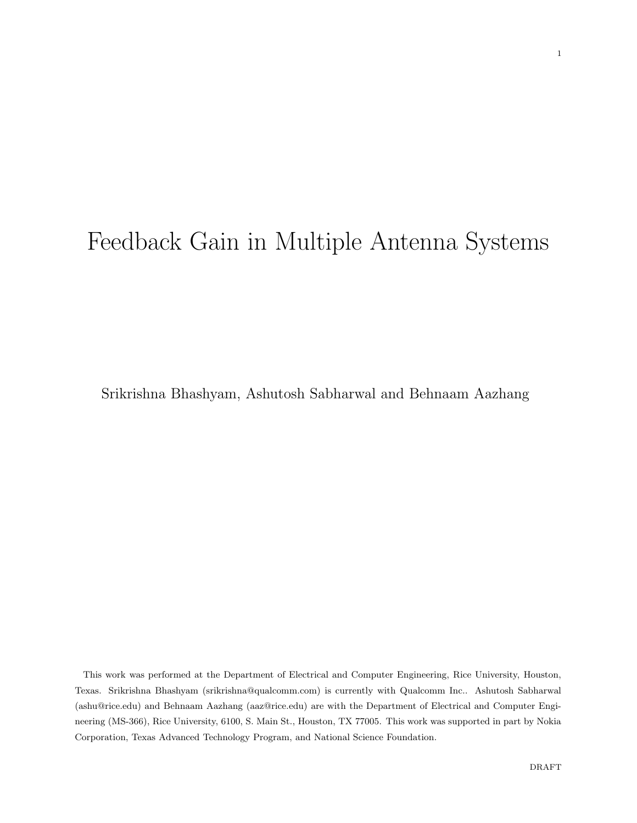# Feedback Gain in Multiple Antenna Systems

Srikrishna Bhashyam, Ashutosh Sabharwal and Behnaam Aazhang

This work was performed at the Department of Electrical and Computer Engineering, Rice University, Houston, Texas. Srikrishna Bhashyam (srikrishna@qualcomm.com) is currently with Qualcomm Inc.. Ashutosh Sabharwal (ashu@rice.edu) and Behnaam Aazhang (aaz@rice.edu) are with the Department of Electrical and Computer Engineering (MS-366), Rice University, 6100, S. Main St., Houston, TX 77005. This work was supported in part by Nokia Corporation, Texas Advanced Technology Program, and National Science Foundation.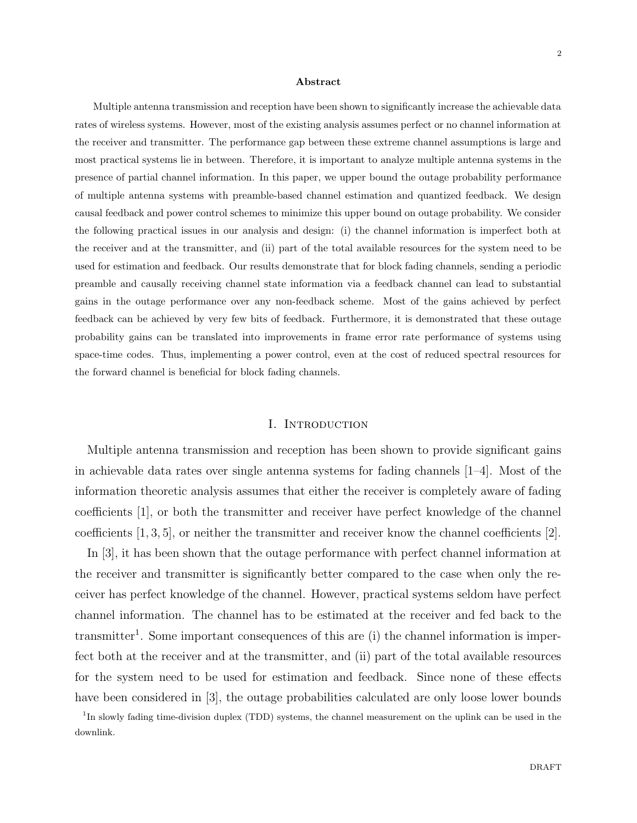#### Abstract

Multiple antenna transmission and reception have been shown to significantly increase the achievable data rates of wireless systems. However, most of the existing analysis assumes perfect or no channel information at the receiver and transmitter. The performance gap between these extreme channel assumptions is large and most practical systems lie in between. Therefore, it is important to analyze multiple antenna systems in the presence of partial channel information. In this paper, we upper bound the outage probability performance of multiple antenna systems with preamble-based channel estimation and quantized feedback. We design causal feedback and power control schemes to minimize this upper bound on outage probability. We consider the following practical issues in our analysis and design: (i) the channel information is imperfect both at the receiver and at the transmitter, and (ii) part of the total available resources for the system need to be used for estimation and feedback. Our results demonstrate that for block fading channels, sending a periodic preamble and causally receiving channel state information via a feedback channel can lead to substantial gains in the outage performance over any non-feedback scheme. Most of the gains achieved by perfect feedback can be achieved by very few bits of feedback. Furthermore, it is demonstrated that these outage probability gains can be translated into improvements in frame error rate performance of systems using space-time codes. Thus, implementing a power control, even at the cost of reduced spectral resources for the forward channel is beneficial for block fading channels.

### I. Introduction

Multiple antenna transmission and reception has been shown to provide significant gains in achievable data rates over single antenna systems for fading channels [1–4]. Most of the information theoretic analysis assumes that either the receiver is completely aware of fading coefficients [1], or both the transmitter and receiver have perfect knowledge of the channel coefficients [1,3,5], or neither the transmitter and receiver know the channel coefficients [2].

In [3], it has been shown that the outage performance with perfect channel information at the receiver and transmitter is significantly better compared to the case when only the receiver has perfect knowledge of the channel. However, practical systems seldom have perfect channel information. The channel has to be estimated at the receiver and fed back to the transmitter<sup>1</sup>. Some important consequences of this are (i) the channel information is imperfect both at the receiver and at the transmitter, and (ii) part of the total available resources for the system need to be used for estimation and feedback. Since none of these effects have been considered in [3], the outage probabilities calculated are only loose lower bounds

<sup>&</sup>lt;sup>1</sup>In slowly fading time-division duplex (TDD) systems, the channel measurement on the uplink can be used in the downlink.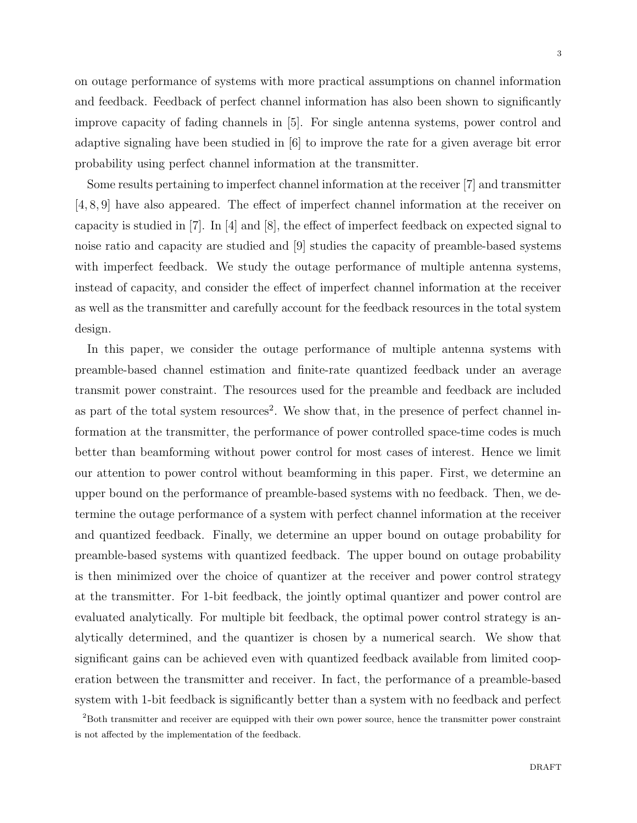on outage performance of systems with more practical assumptions on channel information and feedback. Feedback of perfect channel information has also been shown to significantly improve capacity of fading channels in [5]. For single antenna systems, power control and adaptive signaling have been studied in [6] to improve the rate for a given average bit error probability using perfect channel information at the transmitter.

Some results pertaining to imperfect channel information at the receiver [7] and transmitter [4,8,9] have also appeared. The effect of imperfect channel information at the receiver on capacity is studied in [7]. In [4] and [8], the effect of imperfect feedback on expected signal to noise ratio and capacity are studied and [9] studies the capacity of preamble-based systems with imperfect feedback. We study the outage performance of multiple antenna systems, instead of capacity, and consider the effect of imperfect channel information at the receiver as well as the transmitter and carefully account for the feedback resources in the total system design.

In this paper, we consider the outage performance of multiple antenna systems with preamble-based channel estimation and finite-rate quantized feedback under an average transmit power constraint. The resources used for the preamble and feedback are included as part of the total system resources<sup>2</sup>. We show that, in the presence of perfect channel information at the transmitter, the performance of power controlled space-time codes is much better than beamforming without power control for most cases of interest. Hence we limit our attention to power control without beamforming in this paper. First, we determine an upper bound on the performance of preamble-based systems with no feedback. Then, we determine the outage performance of a system with perfect channel information at the receiver and quantized feedback. Finally, we determine an upper bound on outage probability for preamble-based systems with quantized feedback. The upper bound on outage probability is then minimized over the choice of quantizer at the receiver and power control strategy at the transmitter. For 1-bit feedback, the jointly optimal quantizer and power control are evaluated analytically. For multiple bit feedback, the optimal power control strategy is analytically determined, and the quantizer is chosen by a numerical search. We show that significant gains can be achieved even with quantized feedback available from limited cooperation between the transmitter and receiver. In fact, the performance of a preamble-based system with 1-bit feedback is significantly better than a system with no feedback and perfect

<sup>&</sup>lt;sup>2</sup>Both transmitter and receiver are equipped with their own power source, hence the transmitter power constraint is not affected by the implementation of the feedback.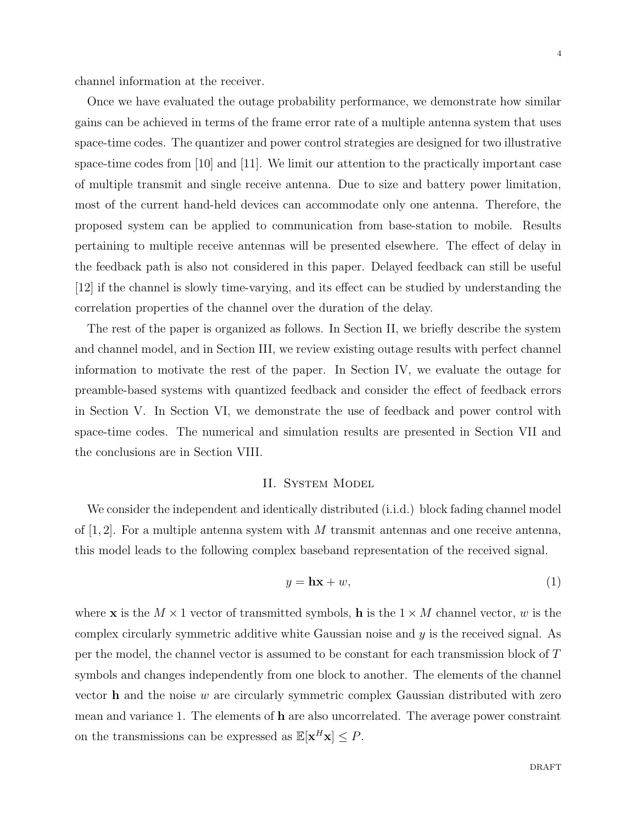channel information at the receiver.

Once we have evaluated the outage probability performance, we demonstrate how similar gains can be achieved in terms of the frame error rate of a multiple antenna system that uses space-time codes. The quantizer and power control strategies are designed for two illustrative space-time codes from [10] and [11]. We limit our attention to the practically important case of multiple transmit and single receive antenna. Due to size and battery power limitation, most of the current hand-held devices can accommodate only one antenna. Therefore, the proposed system can be applied to communication from base-station to mobile. Results pertaining to multiple receive antennas will be presented elsewhere. The effect of delay in the feedback path is also not considered in this paper. Delayed feedback can still be useful [12] if the channel is slowly time-varying, and its effect can be studied by understanding the correlation properties of the channel over the duration of the delay.

The rest of the paper is organized as follows. In Section II, we briefly describe the system and channel model, and in Section III, we review existing outage results with perfect channel information to motivate the rest of the paper. In Section IV, we evaluate the outage for preamble-based systems with quantized feedback and consider the effect of feedback errors in Section V. In Section VI, we demonstrate the use of feedback and power control with space-time codes. The numerical and simulation results are presented in Section VII and the conclusions are in Section VIII.

## II. System Model

We consider the independent and identically distributed (i.i.d.) block fading channel model of  $[1,2]$ . For a multiple antenna system with M transmit antennas and one receive antenna, this model leads to the following complex baseband representation of the received signal.

$$
y = \mathbf{h}\mathbf{x} + w,\tag{1}
$$

where **x** is the  $M \times 1$  vector of transmitted symbols, **h** is the  $1 \times M$  channel vector, w is the complex circularly symmetric additive white Gaussian noise and y is the received signal. As per the model, the channel vector is assumed to be constant for each transmission block of T symbols and changes independently from one block to another. The elements of the channel vector **h** and the noise w are circularly symmetric complex Gaussian distributed with zero mean and variance 1. The elements of h are also uncorrelated. The average power constraint on the transmissions can be expressed as  $\mathbb{E}[\mathbf{x}^H \mathbf{x}] \leq P$ .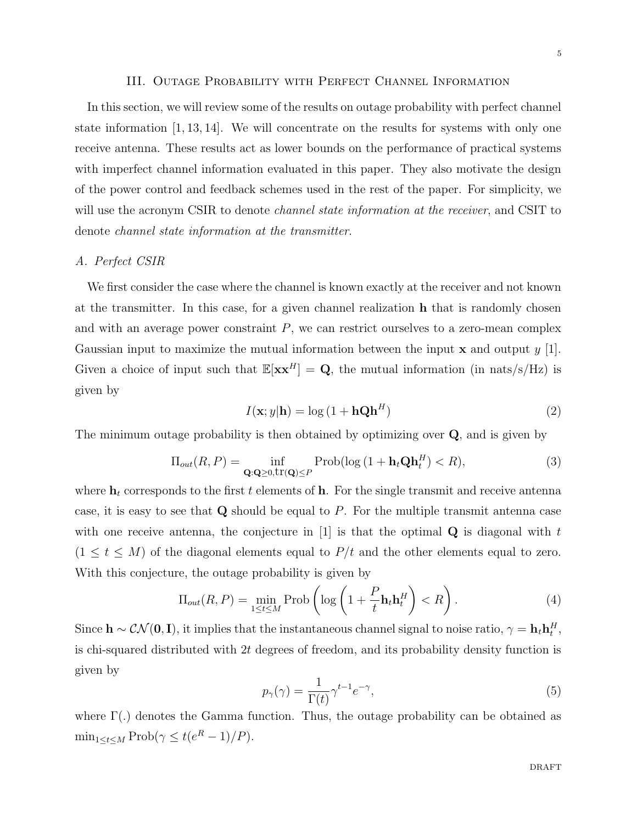#### III. Outage Probability with Perfect Channel Information

In this section, we will review some of the results on outage probability with perfect channel state information  $(1,13,14)$ . We will concentrate on the results for systems with only one receive antenna. These results act as lower bounds on the performance of practical systems with imperfect channel information evaluated in this paper. They also motivate the design of the power control and feedback schemes used in the rest of the paper. For simplicity, we will use the acronym CSIR to denote *channel state information at the receiver*, and CSIT to denote channel state information at the transmitter.

### A. Perfect CSIR

We first consider the case where the channel is known exactly at the receiver and not known at the transmitter. In this case, for a given channel realization h that is randomly chosen and with an average power constraint  $P$ , we can restrict ourselves to a zero-mean complex Gaussian input to maximize the mutual information between the input  $x$  and output  $y$  [1]. Given a choice of input such that  $\mathbb{E}[\mathbf{x}\mathbf{x}^H] = \mathbf{Q}$ , the mutual information (in nats/s/Hz) is given by

$$
I(\mathbf{x}; y|\mathbf{h}) = \log\left(1 + \mathbf{h}\mathbf{Q}\mathbf{h}^H\right) \tag{2}
$$

The minimum outage probability is then obtained by optimizing over Q, and is given by

$$
\Pi_{out}(R, P) = \inf_{\mathbf{Q}: \mathbf{Q} \ge 0, \text{tr}(\mathbf{Q}) \le P} \text{Prob}(\log(1 + \mathbf{h}_t \mathbf{Q} \mathbf{h}_t^H) < R),\tag{3}
$$

where  $h_t$  corresponds to the first t elements of h. For the single transmit and receive antenna case, it is easy to see that  $Q$  should be equal to  $P$ . For the multiple transmit antenna case with one receive antenna, the conjecture in  $[1]$  is that the optimal  $Q$  is diagonal with  $t$  $(1 \leq t \leq M)$  of the diagonal elements equal to  $P/t$  and the other elements equal to zero. With this conjecture, the outage probability is given by

$$
\Pi_{out}(R, P) = \min_{1 \le t \le M} \text{Prob}\left(\log\left(1 + \frac{P}{t}\mathbf{h}_t\mathbf{h}_t^H\right) < R\right). \tag{4}
$$

Since  $\mathbf{h} \sim \mathcal{CN}(\mathbf{0}, \mathbf{I})$ , it implies that the instantaneous channel signal to noise ratio,  $\gamma = \mathbf{h}_t \mathbf{h}_t^H$ , is chi-squared distributed with 2t degrees of freedom, and its probability density function is given by

$$
p_{\gamma}(\gamma) = \frac{1}{\Gamma(t)} \gamma^{t-1} e^{-\gamma}, \tag{5}
$$

where  $\Gamma(.)$  denotes the Gamma function. Thus, the outage probability can be obtained as  $\min_{1 \leq t \leq M} \text{Prob}(\gamma \leq t(e^R - 1)/P).$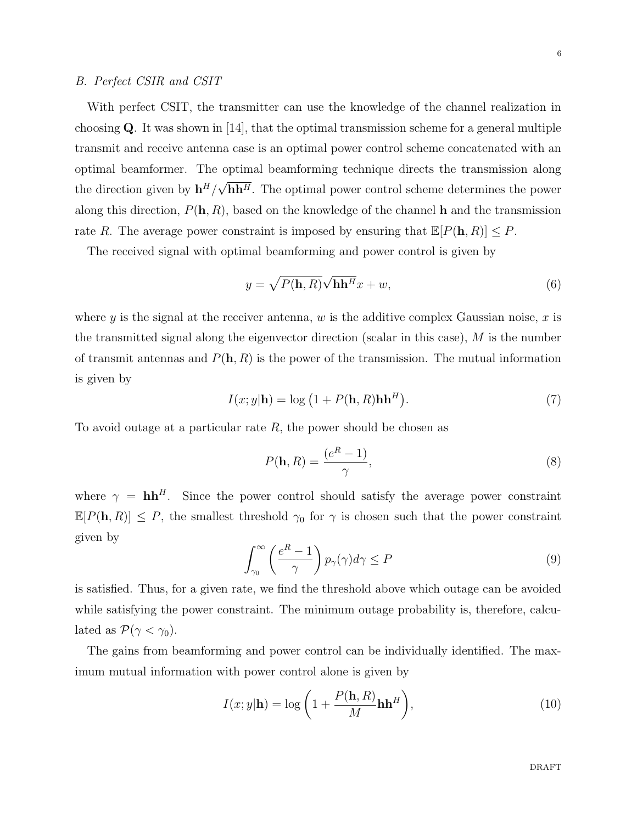## B. Perfect CSIR and CSIT

With perfect CSIT, the transmitter can use the knowledge of the channel realization in choosing  $Q$ . It was shown in [14], that the optimal transmission scheme for a general multiple transmit and receive antenna case is an optimal power control scheme concatenated with an optimal beamformer. The optimal beamforming technique directs the transmission along the direction given by  $\mathbf{h}^H/\sqrt{\mathbf{h}\mathbf{h}^H}$ . The optimal power control scheme determines the power along this direction,  $P(\mathbf{h},R)$ , based on the knowledge of the channel h and the transmission rate R. The average power constraint is imposed by ensuring that  $\mathbb{E}[P(\mathbf{h},R)] \leq P$ .

The received signal with optimal beamforming and power control is given by

$$
y = \sqrt{P(\mathbf{h}, R)} \sqrt{\mathbf{h} \mathbf{h}^H} x + w,\tag{6}
$$

where y is the signal at the receiver antenna,  $w$  is the additive complex Gaussian noise,  $x$  is the transmitted signal along the eigenvector direction (scalar in this case),  $M$  is the number of transmit antennas and  $P(h, R)$  is the power of the transmission. The mutual information is given by

$$
I(x; y | \mathbf{h}) = \log \left( 1 + P(\mathbf{h}, R) \mathbf{h} \mathbf{h}^H \right).
$$
 (7)

To avoid outage at a particular rate  $R$ , the power should be chosen as

$$
P(\mathbf{h}, R) = \frac{(e^R - 1)}{\gamma},\tag{8}
$$

where  $\gamma = \mathbf{h} \mathbf{h}^H$ . Since the power control should satisfy the average power constraint  $\mathbb{E}[P(\mathbf{h},R)] \leq P$ , the smallest threshold  $\gamma_0$  for  $\gamma$  is chosen such that the power constraint given by

$$
\int_{\gamma_0}^{\infty} \left( \frac{e^R - 1}{\gamma} \right) p_{\gamma}(\gamma) d\gamma \le P \tag{9}
$$

is satisfied. Thus, for a given rate, we find the threshold above which outage can be avoided while satisfying the power constraint. The minimum outage probability is, therefore, calculated as  $\mathcal{P}(\gamma < \gamma_0)$ .

The gains from beamforming and power control can be individually identified. The maximum mutual information with power control alone is given by

$$
I(x; y | \mathbf{h}) = \log \left( 1 + \frac{P(\mathbf{h}, R)}{M} \mathbf{h} \mathbf{h}^H \right),\tag{10}
$$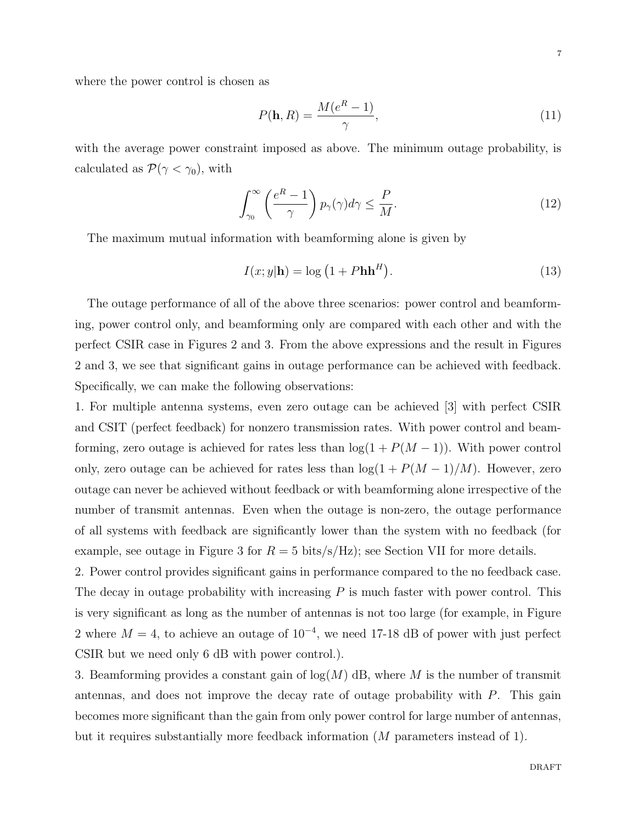where the power control is chosen as

$$
P(\mathbf{h}, R) = \frac{M(e^R - 1)}{\gamma},\tag{11}
$$

with the average power constraint imposed as above. The minimum outage probability, is calculated as  $\mathcal{P}(\gamma < \gamma_0)$ , with

$$
\int_{\gamma_0}^{\infty} \left( \frac{e^R - 1}{\gamma} \right) p_{\gamma}(\gamma) d\gamma \le \frac{P}{M}.
$$
\n(12)

The maximum mutual information with beamforming alone is given by

$$
I(x; y | \mathbf{h}) = \log (1 + P \mathbf{h} \mathbf{h}^H).
$$
\n(13)

The outage performance of all of the above three scenarios: power control and beamforming, power control only, and beamforming only are compared with each other and with the perfect CSIR case in Figures 2 and 3. From the above expressions and the result in Figures 2 and 3, we see that significant gains in outage performance can be achieved with feedback. Specifically, we can make the following observations:

1. For multiple antenna systems, even zero outage can be achieved [3] with perfect CSIR and CSIT (perfect feedback) for nonzero transmission rates. With power control and beamforming, zero outage is achieved for rates less than  $log(1 + P(M - 1))$ . With power control only, zero outage can be achieved for rates less than  $log(1 + P(M-1)/M)$ . However, zero outage can never be achieved without feedback or with beamforming alone irrespective of the number of transmit antennas. Even when the outage is non-zero, the outage performance of all systems with feedback are significantly lower than the system with no feedback (for example, see outage in Figure 3 for  $R = 5$  bits/s/Hz); see Section VII for more details.

2. Power control provides significant gains in performance compared to the no feedback case. The decay in outage probability with increasing  $P$  is much faster with power control. This is very significant as long as the number of antennas is not too large (for example, in Figure 2 where  $M = 4$ , to achieve an outage of  $10^{-4}$ , we need 17-18 dB of power with just perfect CSIR but we need only 6 dB with power control.).

3. Beamforming provides a constant gain of  $log(M)$  dB, where M is the number of transmit antennas, and does not improve the decay rate of outage probability with  $P$ . This gain becomes more significant than the gain from only power control for large number of antennas, but it requires substantially more feedback information (M parameters instead of 1).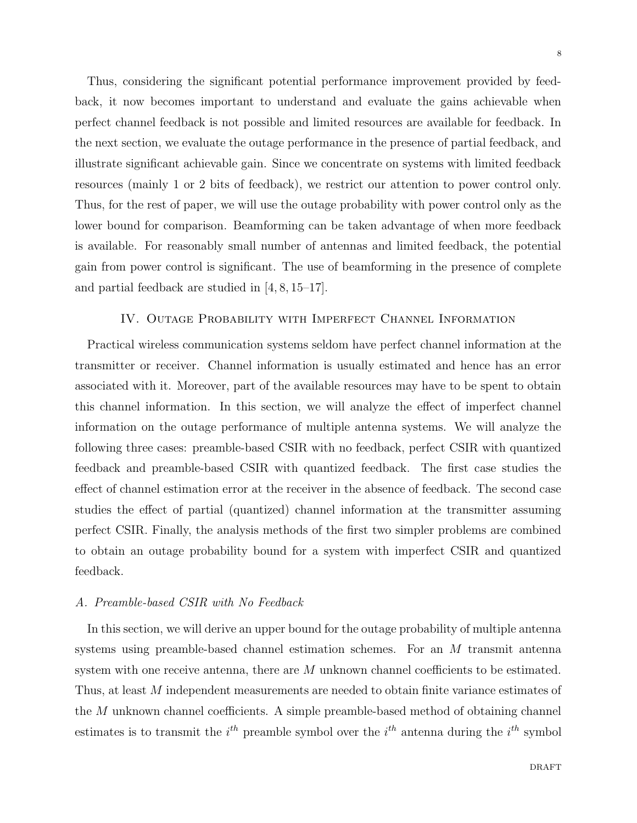Thus, considering the significant potential performance improvement provided by feedback, it now becomes important to understand and evaluate the gains achievable when perfect channel feedback is not possible and limited resources are available for feedback. In the next section, we evaluate the outage performance in the presence of partial feedback, and illustrate significant achievable gain. Since we concentrate on systems with limited feedback resources (mainly 1 or 2 bits of feedback), we restrict our attention to power control only. Thus, for the rest of paper, we will use the outage probability with power control only as the lower bound for comparison. Beamforming can be taken advantage of when more feedback is available. For reasonably small number of antennas and limited feedback, the potential gain from power control is significant. The use of beamforming in the presence of complete and partial feedback are studied in [4,8,15–17].

## IV. Outage Probability with Imperfect Channel Information

Practical wireless communication systems seldom have perfect channel information at the transmitter or receiver. Channel information is usually estimated and hence has an error associated with it. Moreover, part of the available resources may have to be spent to obtain this channel information. In this section, we will analyze the effect of imperfect channel information on the outage performance of multiple antenna systems. We will analyze the following three cases: preamble-based CSIR with no feedback, perfect CSIR with quantized feedback and preamble-based CSIR with quantized feedback. The first case studies the effect of channel estimation error at the receiver in the absence of feedback. The second case studies the effect of partial (quantized) channel information at the transmitter assuming perfect CSIR. Finally, the analysis methods of the first two simpler problems are combined to obtain an outage probability bound for a system with imperfect CSIR and quantized feedback.

#### A. Preamble-based CSIR with No Feedback

In this section, we will derive an upper bound for the outage probability of multiple antenna systems using preamble-based channel estimation schemes. For an M transmit antenna system with one receive antenna, there are  $M$  unknown channel coefficients to be estimated. Thus, at least M independent measurements are needed to obtain finite variance estimates of the  $M$  unknown channel coefficients. A simple preamble-based method of obtaining channel estimates is to transmit the  $i^{th}$  preamble symbol over the  $i^{th}$  antenna during the  $i^{th}$  symbol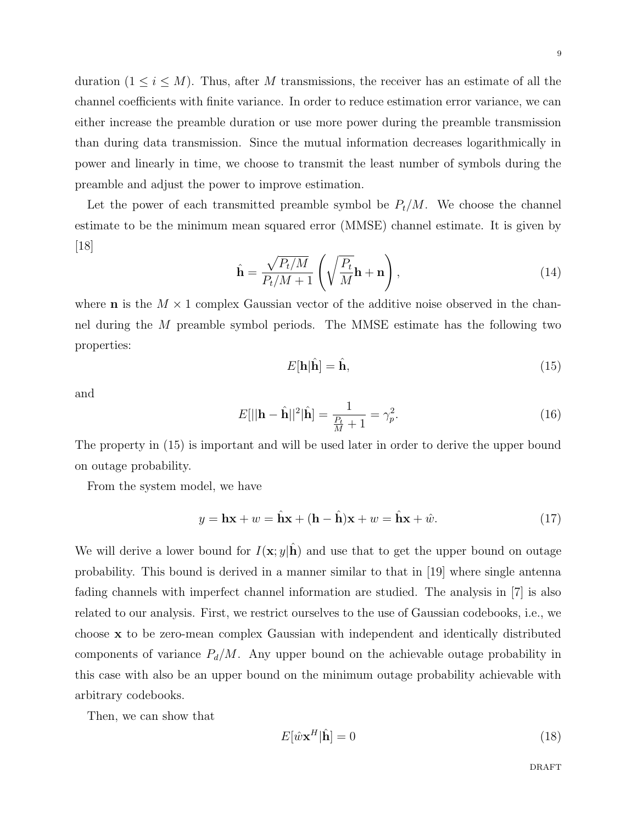duration  $(1 \leq i \leq M)$ . Thus, after M transmissions, the receiver has an estimate of all the channel coefficients with finite variance. In order to reduce estimation error variance, we can either increase the preamble duration or use more power during the preamble transmission than during data transmission. Since the mutual information decreases logarithmically in power and linearly in time, we choose to transmit the least number of symbols during the preamble and adjust the power to improve estimation.

Let the power of each transmitted preamble symbol be  $P_t/M$ . We choose the channel estimate to be the minimum mean squared error (MMSE) channel estimate. It is given by  $|18|$ 

$$
\hat{\mathbf{h}} = \frac{\sqrt{P_t/M}}{P_t/M + 1} \left( \sqrt{\frac{P_t}{M}} \mathbf{h} + \mathbf{n} \right),\tag{14}
$$

where **n** is the  $M \times 1$  complex Gaussian vector of the additive noise observed in the channel during the M preamble symbol periods. The MMSE estimate has the following two properties:

$$
E[\mathbf{h}|\hat{\mathbf{h}}] = \hat{\mathbf{h}},\tag{15}
$$

and

$$
E[||\mathbf{h} - \hat{\mathbf{h}}||^2|\hat{\mathbf{h}}] = \frac{1}{\frac{P_t}{M} + 1} = \gamma_p^2.
$$
 (16)

The property in (15) is important and will be used later in order to derive the upper bound on outage probability.

From the system model, we have

$$
y = \mathbf{h}\mathbf{x} + w = \hat{\mathbf{h}}\mathbf{x} + (\mathbf{h} - \hat{\mathbf{h}})\mathbf{x} + w = \hat{\mathbf{h}}\mathbf{x} + \hat{w}.
$$
 (17)

We will derive a lower bound for  $I(x; y|h)$  and use that to get the upper bound on outage probability. This bound is derived in a manner similar to that in [19] where single antenna fading channels with imperfect channel information are studied. The analysis in [7] is also related to our analysis. First, we restrict ourselves to the use of Gaussian codebooks, i.e., we choose x to be zero-mean complex Gaussian with independent and identically distributed components of variance  $P_d/M$ . Any upper bound on the achievable outage probability in this case with also be an upper bound on the minimum outage probability achievable with arbitrary codebooks.

Then, we can show that

$$
E[\hat{w}\mathbf{x}^H|\hat{\mathbf{h}}] = 0\tag{18}
$$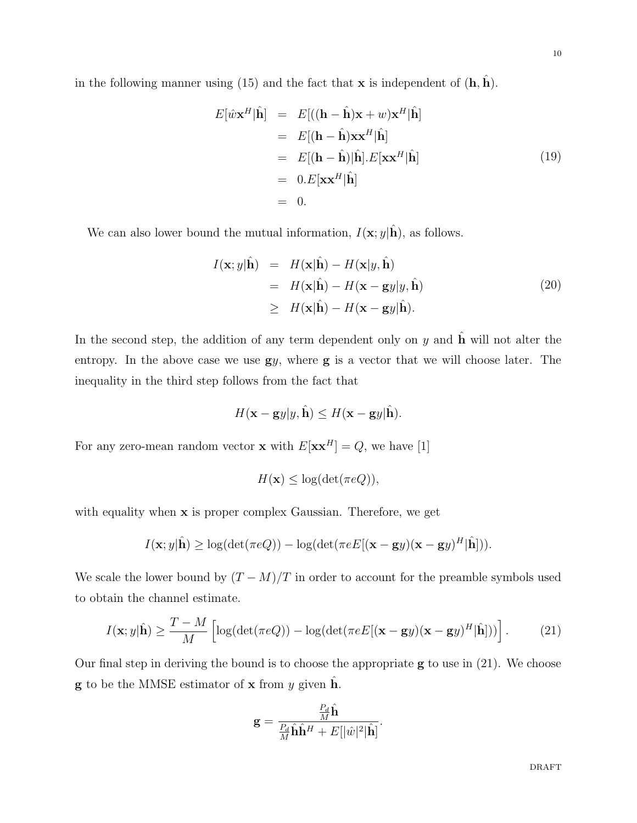in the following manner using (15) and the fact that  $x$  is independent of  $(h, h)$ .

$$
E[\hat{w} \mathbf{x}^{H} | \hat{\mathbf{h}}] = E[((\mathbf{h} - \hat{\mathbf{h}})\mathbf{x} + w)\mathbf{x}^{H} | \hat{\mathbf{h}}]
$$
  
\n
$$
= E[(\mathbf{h} - \hat{\mathbf{h}})\mathbf{x}\mathbf{x}^{H} | \hat{\mathbf{h}}]
$$
  
\n
$$
= E[(\mathbf{h} - \hat{\mathbf{h}})| \hat{\mathbf{h}}].E[\mathbf{x}\mathbf{x}^{H} | \hat{\mathbf{h}}]
$$
  
\n
$$
= 0.E[\mathbf{x}\mathbf{x}^{H} | \hat{\mathbf{h}}]
$$
  
\n
$$
= 0.
$$
 (19)  
\n(19)

We can also lower bound the mutual information,  $I(\mathbf{x}; y|\hat{\mathbf{h}})$ , as follows.

$$
I(\mathbf{x}; y|\hat{\mathbf{h}}) = H(\mathbf{x}|\hat{\mathbf{h}}) - H(\mathbf{x}|y, \hat{\mathbf{h}})
$$
  
=  $H(\mathbf{x}|\hat{\mathbf{h}}) - H(\mathbf{x} - \mathbf{g}y|y, \hat{\mathbf{h}})$   
 $\geq H(\mathbf{x}|\hat{\mathbf{h}}) - H(\mathbf{x} - \mathbf{g}y|\hat{\mathbf{h}}).$  (20)

In the second step, the addition of any term dependent only on  $y$  and  $\hat{\mathbf{h}}$  will not alter the entropy. In the above case we use  $gy$ , where  $g$  is a vector that we will choose later. The inequality in the third step follows from the fact that

$$
H(\mathbf{x} - \mathbf{g}y|y, \hat{\mathbf{h}}) \le H(\mathbf{x} - \mathbf{g}y|\hat{\mathbf{h}}).
$$

For any zero-mean random vector **x** with  $E[\mathbf{x} \mathbf{x}^H] = Q$ , we have [1]

$$
H(\mathbf{x}) \leq \log(\det(\pi e Q)),
$$

with equality when **x** is proper complex Gaussian. Therefore, we get

$$
I(\mathbf{x};y|\hat{\mathbf{h}}) \ge \log(\det(\pi e Q)) - \log(\det(\pi e E[(\mathbf{x} - \mathbf{g} y)(\mathbf{x} - \mathbf{g} y)^H|\hat{\mathbf{h}}])).
$$

We scale the lower bound by  $(T - M)/T$  in order to account for the preamble symbols used to obtain the channel estimate.

$$
I(\mathbf{x};y|\hat{\mathbf{h}}) \ge \frac{T-M}{M} \left[ \log(\det(\pi eQ)) - \log(\det(\pi eE[(\mathbf{x} - \mathbf{g}y)(\mathbf{x} - \mathbf{g}y)^H|\hat{\mathbf{h}}])) \right].
$$
 (21)

Our final step in deriving the bound is to choose the appropriate g to use in (21). We choose **g** to be the MMSE estimator of **x** from  $y$  given **h**.

$$
\mathbf{g} = \frac{\frac{P_d}{M}\hat{\mathbf{h}}}{\frac{P_d}{M}\hat{\mathbf{h}}\hat{\mathbf{h}}^H + E[|\hat{w}|^2|\hat{\mathbf{h}}]}.
$$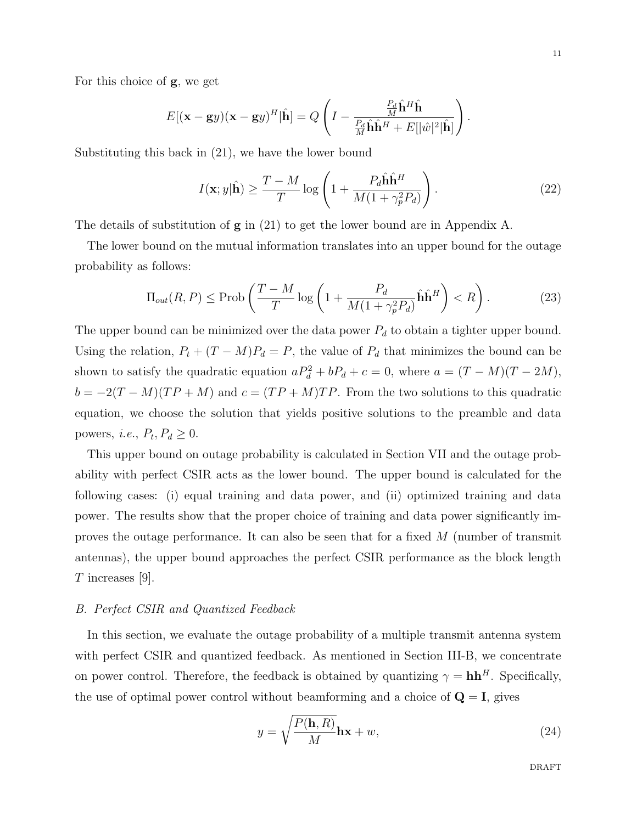For this choice of g, we get

$$
E[(\mathbf{x}-\mathbf{g}y)(\mathbf{x}-\mathbf{g}y)^H|\hat{\mathbf{h}}] = Q\left(I - \frac{\frac{P_d}{M}\hat{\mathbf{h}}^H\hat{\mathbf{h}}}{\frac{P_d}{M}\hat{\mathbf{h}}\hat{\mathbf{h}}^H + E[|\hat{w}|^2|\hat{\mathbf{h}}]}\right).
$$

Substituting this back in (21), we have the lower bound

$$
I(\mathbf{x}; y | \hat{\mathbf{h}}) \ge \frac{T - M}{T} \log \left( 1 + \frac{P_d \hat{\mathbf{h}} \hat{\mathbf{h}}^H}{M (1 + \gamma_p^2 P_d)} \right). \tag{22}
$$

The details of substitution of **g** in (21) to get the lower bound are in Appendix A.

The lower bound on the mutual information translates into an upper bound for the outage probability as follows:

$$
\Pi_{out}(R, P) \le \text{Prob}\left(\frac{T - M}{T} \log \left(1 + \frac{P_d}{M(1 + \gamma_p^2 P_d)} \hat{\mathbf{n}} \hat{\mathbf{n}}^H\right) < R\right). \tag{23}
$$

The upper bound can be minimized over the data power  $P_d$  to obtain a tighter upper bound. Using the relation,  $P_t + (T - M)P_d = P$ , the value of  $P_d$  that minimizes the bound can be shown to satisfy the quadratic equation  $aP_d^2 + bP_d + c = 0$ , where  $a = (T - M)(T - 2M)$ ,  $b = -2(T - M)(TP + M)$  and  $c = (TP + M)TP$ . From the two solutions to this quadratic equation, we choose the solution that yields positive solutions to the preamble and data powers, *i.e.*,  $P_t$ ,  $P_d \geq 0$ .

This upper bound on outage probability is calculated in Section VII and the outage probability with perfect CSIR acts as the lower bound. The upper bound is calculated for the following cases: (i) equal training and data power, and (ii) optimized training and data power. The results show that the proper choice of training and data power significantly improves the outage performance. It can also be seen that for a fixed M (number of transmit antennas), the upper bound approaches the perfect CSIR performance as the block length  $T$  increases [9].

## B. Perfect CSIR and Quantized Feedback

In this section, we evaluate the outage probability of a multiple transmit antenna system with perfect CSIR and quantized feedback. As mentioned in Section III-B, we concentrate on power control. Therefore, the feedback is obtained by quantizing  $\gamma = \mathbf{h} \mathbf{h}^H$ . Specifically, the use of optimal power control without beamforming and a choice of  $Q = I$ , gives

$$
y = \sqrt{\frac{P(\mathbf{h}, R)}{M}} \mathbf{h} \mathbf{x} + w,\tag{24}
$$

DRAFT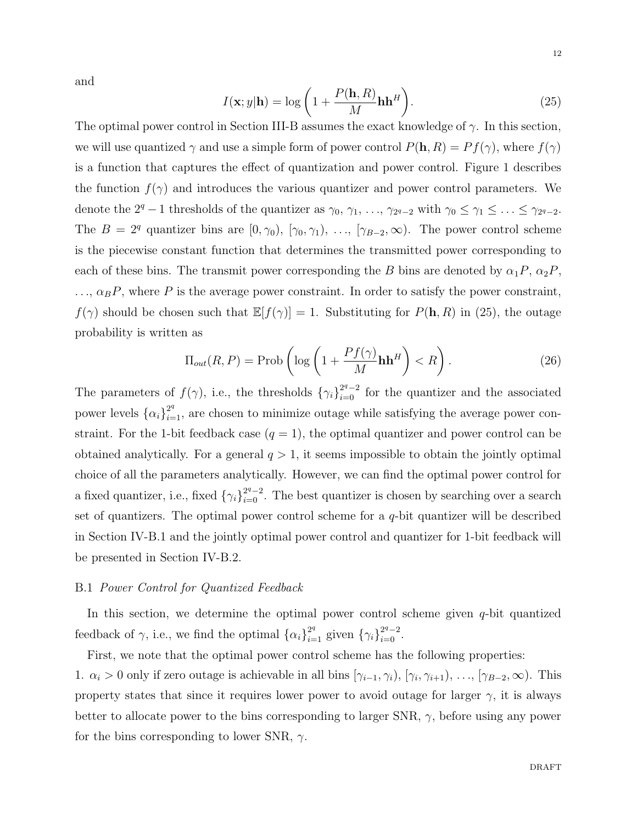and

$$
I(\mathbf{x}; y | \mathbf{h}) = \log \left( 1 + \frac{P(\mathbf{h}, R)}{M} \mathbf{h} \mathbf{h}^H \right).
$$
 (25)

The optimal power control in Section III-B assumes the exact knowledge of  $\gamma$ . In this section, we will use quantized  $\gamma$  and use a simple form of power control  $P(\mathbf{h},R) = Pf(\gamma)$ , where  $f(\gamma)$ is a function that captures the effect of quantization and power control. Figure 1 describes the function  $f(\gamma)$  and introduces the various quantizer and power control parameters. We denote the  $2^q - 1$  thresholds of the quantizer as  $\gamma_0, \gamma_1, \ldots, \gamma_{2^q-2}$  with  $\gamma_0 \leq \gamma_1 \leq \ldots \leq \gamma_{2^q-2}$ . The  $B = 2^q$  quantizer bins are  $[0, \gamma_0), [\gamma_0, \gamma_1), \ldots, [\gamma_{B-2}, \infty)$ . The power control scheme is the piecewise constant function that determines the transmitted power corresponding to each of these bins. The transmit power corresponding the B bins are denoted by  $\alpha_1 P$ ,  $\alpha_2 P$ ,  $\ldots$ ,  $\alpha_B P$ , where P is the average power constraint. In order to satisfy the power constraint,  $f(\gamma)$  should be chosen such that  $\mathbb{E}[f(\gamma)] = 1$ . Substituting for  $P(\mathbf{h}, R)$  in (25), the outage probability is written as

$$
\Pi_{out}(R, P) = \text{Prob}\left(\log\left(1 + \frac{Pf(\gamma)}{M}\mathbf{h}\mathbf{h}^H\right) < R\right). \tag{26}
$$

The parameters of  $f(\gamma)$ , i.e., the thresholds  $\{\gamma_i\}_{i=0}^{2^q-2}$  for the quantizer and the associated power levels  $\{\alpha_i\}_{i=1}^{2^q}$ , are chosen to minimize outage while satisfying the average power constraint. For the 1-bit feedback case  $(q = 1)$ , the optimal quantizer and power control can be obtained analytically. For a general  $q > 1$ , it seems impossible to obtain the jointly optimal choice of all the parameters analytically. However, we can find the optimal power control for a fixed quantizer, i.e., fixed  $\{\gamma_i\}_{i=0}^{2^q-2}$ . The best quantizer is chosen by searching over a search set of quantizers. The optimal power control scheme for a  $q$ -bit quantizer will be described in Section IV-B.1 and the jointly optimal power control and quantizer for 1-bit feedback will be presented in Section IV-B.2.

## B.1 Power Control for Quantized Feedback

In this section, we determine the optimal power control scheme given  $q$ -bit quantized feedback of  $\gamma$ , i.e., we find the optimal  $\{\alpha_i\}_{i=1}^{2^q}$  given  $\{\gamma_i\}_{i=0}^{2^q-2}$ .

First, we note that the optimal power control scheme has the following properties:

1.  $\alpha_i > 0$  only if zero outage is achievable in all bins  $[\gamma_{i-1}, \gamma_i)$ ,  $[\gamma_i, \gamma_{i+1})$ , ...,  $[\gamma_{B-2}, \infty)$ . This property states that since it requires lower power to avoid outage for larger  $\gamma$ , it is always better to allocate power to the bins corresponding to larger SNR,  $\gamma$ , before using any power for the bins corresponding to lower SNR,  $\gamma$ .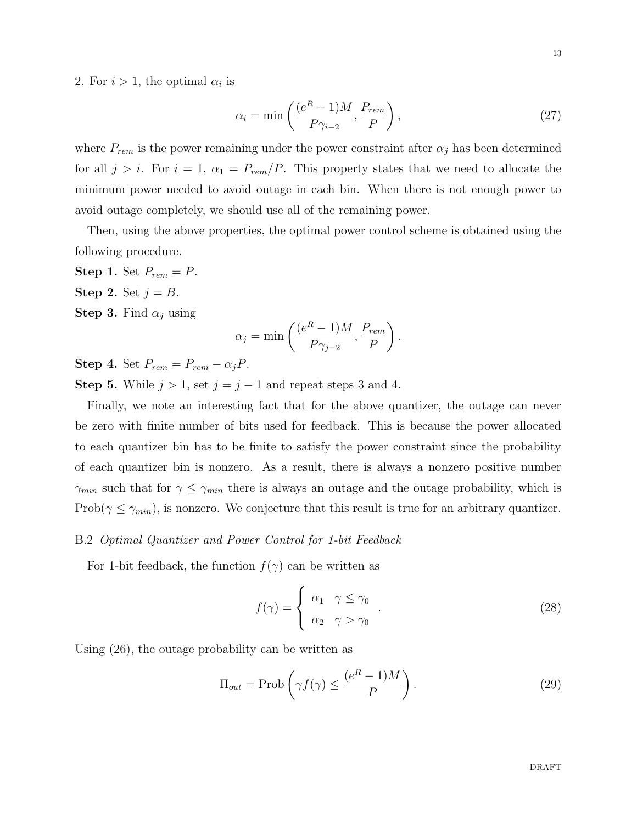$$
\alpha_i = \min\left(\frac{(e^R - 1)M}{P\gamma_{i-2}}, \frac{P_{rem}}{P}\right),\tag{27}
$$

where  $P_{rem}$  is the power remaining under the power constraint after  $\alpha_j$  has been determined for all  $j > i$ . For  $i = 1$ ,  $\alpha_1 = P_{rem}/P$ . This property states that we need to allocate the minimum power needed to avoid outage in each bin. When there is not enough power to avoid outage completely, we should use all of the remaining power.

Then, using the above properties, the optimal power control scheme is obtained using the following procedure.

**Step 1.** Set  $P_{rem} = P$ . Step 2. Set  $j = B$ . **Step 3.** Find  $\alpha_i$  using

$$
\alpha_j = \min\left(\frac{(e^R - 1)M}{P\gamma_{j-2}}, \frac{P_{rem}}{P}\right).
$$

Step 4. Set  $P_{rem} = P_{rem} - \alpha_j P$ .

**Step 5.** While  $j > 1$ , set  $j = j - 1$  and repeat steps 3 and 4.

Finally, we note an interesting fact that for the above quantizer, the outage can never be zero with finite number of bits used for feedback. This is because the power allocated to each quantizer bin has to be finite to satisfy the power constraint since the probability of each quantizer bin is nonzero. As a result, there is always a nonzero positive number  $\gamma_{min}$  such that for  $\gamma \leq \gamma_{min}$  there is always an outage and the outage probability, which is Prob( $\gamma \leq \gamma_{min}$ ), is nonzero. We conjecture that this result is true for an arbitrary quantizer.

### B.2 Optimal Quantizer and Power Control for 1-bit Feedback

For 1-bit feedback, the function  $f(\gamma)$  can be written as

$$
f(\gamma) = \begin{cases} \alpha_1 & \gamma \le \gamma_0 \\ \alpha_2 & \gamma > \gamma_0 \end{cases} . \tag{28}
$$

Using (26), the outage probability can be written as

$$
\Pi_{out} = \text{Prob}\left(\gamma f(\gamma) \le \frac{(e^R - 1)M}{P}\right). \tag{29}
$$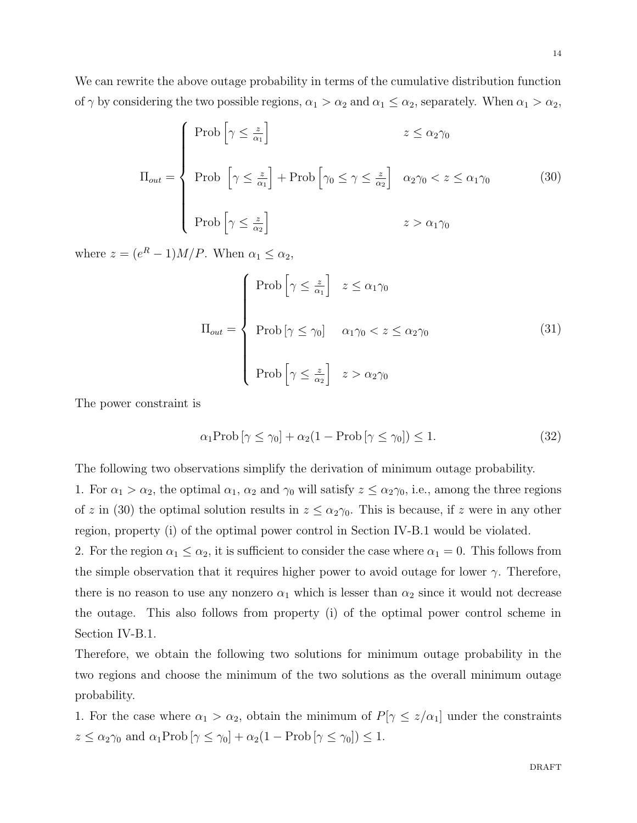We can rewrite the above outage probability in terms of the cumulative distribution function of  $\gamma$  by considering the two possible regions,  $\alpha_1 > \alpha_2$  and  $\alpha_1 \leq \alpha_2$ , separately. When  $\alpha_1 > \alpha_2$ ,

$$
\Pi_{out} = \begin{cases}\n\text{Prob}\left[\gamma \le \frac{z}{\alpha_1}\right] & z \le \alpha_2 \gamma_0 \\
\text{Prob}\left[\gamma \le \frac{z}{\alpha_1}\right] + \text{Prob}\left[\gamma_0 \le \gamma \le \frac{z}{\alpha_2}\right] & \alpha_2 \gamma_0 < z \le \alpha_1 \gamma_0 \\
\text{Prob}\left[\gamma \le \frac{z}{\alpha_2}\right] & z > \alpha_1 \gamma_0\n\end{cases} \tag{30}
$$

where  $z = (e^R - 1)M/P$ . When  $\alpha_1 \leq \alpha_2$ ,

$$
\Pi_{out} = \begin{cases}\n\text{Prob}\left[\gamma \le \frac{z}{\alpha_1}\right] & z \le \alpha_1 \gamma_0 \\
\text{Prob}\left[\gamma \le \gamma_0\right] & \alpha_1 \gamma_0 < z \le \alpha_2 \gamma_0 \\
\text{Prob}\left[\gamma \le \frac{z}{\alpha_2}\right] & z > \alpha_2 \gamma_0\n\end{cases} \tag{31}
$$

The power constraint is

$$
\alpha_1 \text{Prob} \left[ \gamma \le \gamma_0 \right] + \alpha_2 (1 - \text{Prob} \left[ \gamma \le \gamma_0 \right] ) \le 1. \tag{32}
$$

The following two observations simplify the derivation of minimum outage probability. 1. For  $\alpha_1 > \alpha_2$ , the optimal  $\alpha_1$ ,  $\alpha_2$  and  $\gamma_0$  will satisfy  $z \leq \alpha_2 \gamma_0$ , i.e., among the three regions of z in (30) the optimal solution results in  $z \le \alpha_2 \gamma_0$ . This is because, if z were in any other region, property (i) of the optimal power control in Section IV-B.1 would be violated. 2. For the region  $\alpha_1 \leq \alpha_2$ , it is sufficient to consider the case where  $\alpha_1 = 0$ . This follows from the simple observation that it requires higher power to avoid outage for lower  $\gamma$ . Therefore, there is no reason to use any nonzero  $\alpha_1$  which is lesser than  $\alpha_2$  since it would not decrease the outage. This also follows from property (i) of the optimal power control scheme in Section IV-B.1.

Therefore, we obtain the following two solutions for minimum outage probability in the two regions and choose the minimum of the two solutions as the overall minimum outage probability.

1. For the case where  $\alpha_1 > \alpha_2$ , obtain the minimum of  $P[\gamma \leq z/\alpha_1]$  under the constraints  $z \le \alpha_2 \gamma_0$  and  $\alpha_1 \text{Prob} \left[ \gamma \le \gamma_0 \right] + \alpha_2 (1 - \text{Prob} \left[ \gamma \le \gamma_0 \right]) \le 1.$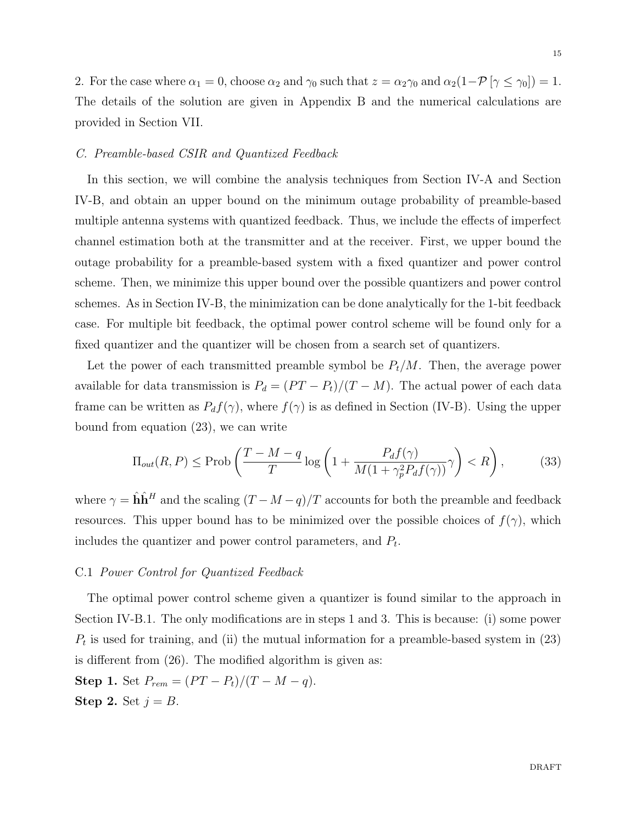2. For the case where  $\alpha_1 = 0$ , choose  $\alpha_2$  and  $\gamma_0$  such that  $z = \alpha_2 \gamma_0$  and  $\alpha_2(1-\mathcal{P}[\gamma \le \gamma_0]) = 1$ . The details of the solution are given in Appendix B and the numerical calculations are provided in Section VII.

## C. Preamble-based CSIR and Quantized Feedback

In this section, we will combine the analysis techniques from Section IV-A and Section IV-B, and obtain an upper bound on the minimum outage probability of preamble-based multiple antenna systems with quantized feedback. Thus, we include the effects of imperfect channel estimation both at the transmitter and at the receiver. First, we upper bound the outage probability for a preamble-based system with a fixed quantizer and power control scheme. Then, we minimize this upper bound over the possible quantizers and power control schemes. As in Section IV-B, the minimization can be done analytically for the 1-bit feedback case. For multiple bit feedback, the optimal power control scheme will be found only for a fixed quantizer and the quantizer will be chosen from a search set of quantizers.

Let the power of each transmitted preamble symbol be  $P_t/M$ . Then, the average power available for data transmission is  $P_d = (PT - P_t)/(T - M)$ . The actual power of each data frame can be written as  $P_d f(\gamma)$ , where  $f(\gamma)$  is as defined in Section (IV-B). Using the upper bound from equation (23), we can write

$$
\Pi_{out}(R, P) \le \text{Prob}\left(\frac{T - M - q}{T} \log\left(1 + \frac{P_d f(\gamma)}{M(1 + \gamma_p^2 P_d f(\gamma))}\gamma\right) < R\right),\tag{33}
$$

where  $\gamma = \hat{\mathbf{h}} \hat{\mathbf{h}}^H$  and the scaling  $(T - M - q)/T$  accounts for both the preamble and feedback resources. This upper bound has to be minimized over the possible choices of  $f(\gamma)$ , which includes the quantizer and power control parameters, and  $P_t$ .

#### C.1 Power Control for Quantized Feedback

The optimal power control scheme given a quantizer is found similar to the approach in Section IV-B.1. The only modifications are in steps 1 and 3. This is because: (i) some power  $P_t$  is used for training, and (ii) the mutual information for a preamble-based system in (23) is different from (26). The modified algorithm is given as:

**Step 1.** Set 
$$
P_{rem} = (PT - P_t)/(T - M - q)
$$
.  
**Step 2.** Set  $j = B$ .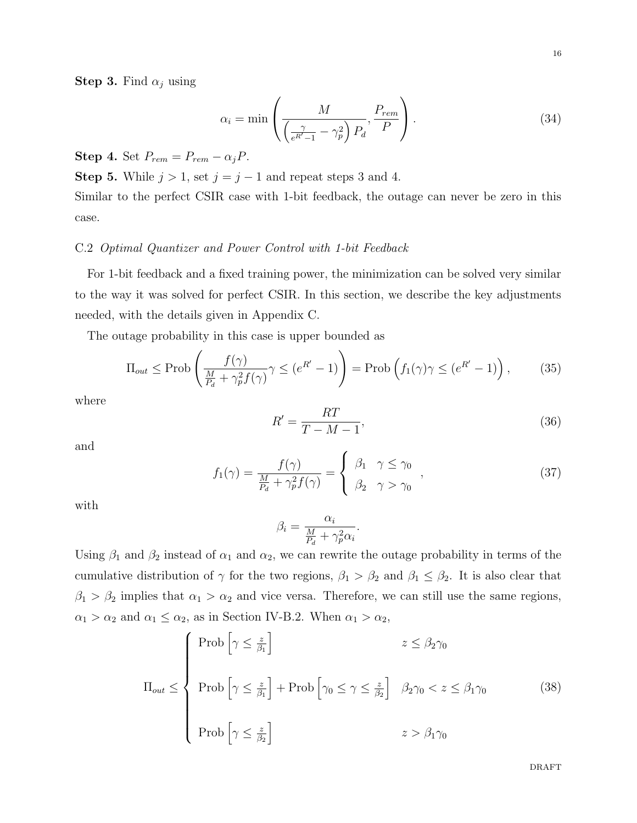**Step 3.** Find  $\alpha_j$  using

$$
\alpha_i = \min\left(\frac{M}{\left(\frac{\gamma}{e^{R'}-1} - \gamma_p^2\right)P_d}, \frac{P_{rem}}{P}\right). \tag{34}
$$

**Step 4.** Set  $P_{rem} = P_{rem} - \alpha_j P$ .

**Step 5.** While  $j > 1$ , set  $j = j - 1$  and repeat steps 3 and 4.

Similar to the perfect CSIR case with 1-bit feedback, the outage can never be zero in this case.

## C.2 Optimal Quantizer and Power Control with 1-bit Feedback

For 1-bit feedback and a fixed training power, the minimization can be solved very similar to the way it was solved for perfect CSIR. In this section, we describe the key adjustments needed, with the details given in Appendix C.

The outage probability in this case is upper bounded as

$$
\Pi_{out} \le \text{Prob}\left(\frac{f(\gamma)}{\frac{M}{P_d} + \gamma_p^2 f(\gamma)} \gamma \le (e^{R'} - 1)\right) = \text{Prob}\left(f_1(\gamma)\gamma \le (e^{R'} - 1)\right),\tag{35}
$$

where

$$
R' = \frac{RT}{T - M - 1},\tag{36}
$$

and

$$
f_1(\gamma) = \frac{f(\gamma)}{\frac{M}{P_d} + \gamma_p^2 f(\gamma)} = \begin{cases} \beta_1 & \gamma \le \gamma_0 \\ \beta_2 & \gamma > \gamma_0 \end{cases},
$$
\n(37)

with

$$
\beta_i = \frac{\alpha_i}{\frac{M}{P_d} + \gamma_p^2 \alpha_i}.
$$

Using  $\beta_1$  and  $\beta_2$  instead of  $\alpha_1$  and  $\alpha_2$ , we can rewrite the outage probability in terms of the cumulative distribution of  $\gamma$  for the two regions,  $\beta_1 > \beta_2$  and  $\beta_1 \leq \beta_2$ . It is also clear that  $\beta_1 > \beta_2$  implies that  $\alpha_1 > \alpha_2$  and vice versa. Therefore, we can still use the same regions,  $\alpha_1 > \alpha_2$  and  $\alpha_1 \leq \alpha_2$ , as in Section IV-B.2. When  $\alpha_1 > \alpha_2$ ,

$$
\Pi_{out} \leq \left\{ \begin{array}{ll} \text{Prob}\left[\gamma \leq \frac{z}{\beta_1}\right] & z \leq \beta_2 \gamma_0 \\ \\ \text{Prob}\left[\gamma \leq \frac{z}{\beta_1}\right] + \text{Prob}\left[\gamma_0 \leq \gamma \leq \frac{z}{\beta_2}\right] & \beta_2 \gamma_0 < z \leq \beta_1 \gamma_0 \\ \\ \text{Prob}\left[\gamma \leq \frac{z}{\beta_2}\right] & z > \beta_1 \gamma_0 \end{array} \right. \tag{38}
$$

DRAFT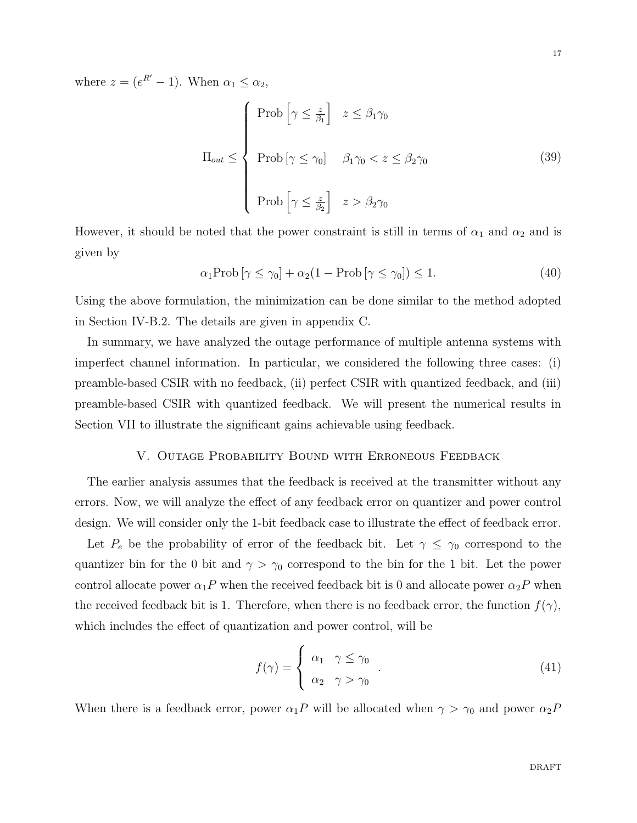where  $z = (e^{R'} - 1)$ . When  $\alpha_1 \leq \alpha_2$ ,

$$
\Pi_{out} \leq \left\{ \begin{array}{ll} \text{Prob}\left[\gamma \leq \frac{z}{\beta_1}\right] & z \leq \beta_1 \gamma_0 \\ \\ \text{Prob}\left[\gamma \leq \gamma_0\right] & \beta_1 \gamma_0 < z \leq \beta_2 \gamma_0 \\ \\ \text{Prob}\left[\gamma \leq \frac{z}{\beta_2}\right] & z > \beta_2 \gamma_0 \end{array} \right. \tag{39}
$$

However, it should be noted that the power constraint is still in terms of  $\alpha_1$  and  $\alpha_2$  and is given by

$$
\alpha_1 \text{Prob} \left[ \gamma \le \gamma_0 \right] + \alpha_2 (1 - \text{Prob} \left[ \gamma \le \gamma_0 \right] ) \le 1. \tag{40}
$$

Using the above formulation, the minimization can be done similar to the method adopted in Section IV-B.2. The details are given in appendix C.

In summary, we have analyzed the outage performance of multiple antenna systems with imperfect channel information. In particular, we considered the following three cases: (i) preamble-based CSIR with no feedback, (ii) perfect CSIR with quantized feedback, and (iii) preamble-based CSIR with quantized feedback. We will present the numerical results in Section VII to illustrate the significant gains achievable using feedback.

## V. Outage Probability Bound with Erroneous Feedback

The earlier analysis assumes that the feedback is received at the transmitter without any errors. Now, we will analyze the effect of any feedback error on quantizer and power control design. We will consider only the 1-bit feedback case to illustrate the effect of feedback error.

Let  $P_e$  be the probability of error of the feedback bit. Let  $\gamma \leq \gamma_0$  correspond to the quantizer bin for the 0 bit and  $\gamma > \gamma_0$  correspond to the bin for the 1 bit. Let the power control allocate power  $\alpha_1 P$  when the received feedback bit is 0 and allocate power  $\alpha_2 P$  when the received feedback bit is 1. Therefore, when there is no feedback error, the function  $f(\gamma)$ , which includes the effect of quantization and power control, will be

$$
f(\gamma) = \begin{cases} \alpha_1 & \gamma \le \gamma_0 \\ \alpha_2 & \gamma > \gamma_0 \end{cases} . \tag{41}
$$

When there is a feedback error, power  $\alpha_1 P$  will be allocated when  $\gamma > \gamma_0$  and power  $\alpha_2 P$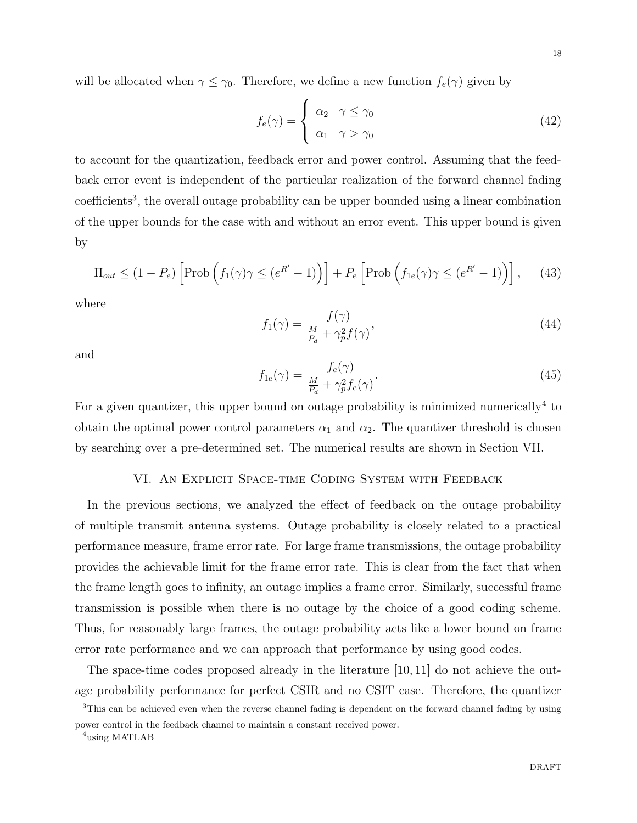will be allocated when  $\gamma \leq \gamma_0$ . Therefore, we define a new function  $f_e(\gamma)$  given by

$$
f_e(\gamma) = \begin{cases} \alpha_2 & \gamma \le \gamma_0 \\ \alpha_1 & \gamma > \gamma_0 \end{cases}
$$
 (42)

to account for the quantization, feedback error and power control. Assuming that the feedback error event is independent of the particular realization of the forward channel fading coefficients<sup>3</sup>, the overall outage probability can be upper bounded using a linear combination of the upper bounds for the case with and without an error event. This upper bound is given by

$$
\Pi_{out} \le (1 - P_e) \left[ \text{Prob} \left( f_1(\gamma) \gamma \le (e^{R'} - 1) \right) \right] + P_e \left[ \text{Prob} \left( f_{1e}(\gamma) \gamma \le (e^{R'} - 1) \right) \right], \quad (43)
$$

where

$$
f_1(\gamma) = \frac{f(\gamma)}{\frac{M}{P_d} + \gamma_p^2 f(\gamma)},\tag{44}
$$

and

$$
f_{1e}(\gamma) = \frac{f_e(\gamma)}{\frac{M}{P_d} + \gamma_p^2 f_e(\gamma)}.
$$
\n(45)

For a given quantizer, this upper bound on outage probability is minimized numerically<sup>4</sup> to obtain the optimal power control parameters  $\alpha_1$  and  $\alpha_2$ . The quantizer threshold is chosen by searching over a pre-determined set. The numerical results are shown in Section VII.

## VI. An Explicit Space-time Coding System with Feedback

In the previous sections, we analyzed the effect of feedback on the outage probability of multiple transmit antenna systems. Outage probability is closely related to a practical performance measure, frame error rate. For large frame transmissions, the outage probability provides the achievable limit for the frame error rate. This is clear from the fact that when the frame length goes to infinity, an outage implies a frame error. Similarly, successful frame transmission is possible when there is no outage by the choice of a good coding scheme. Thus, for reasonably large frames, the outage probability acts like a lower bound on frame error rate performance and we can approach that performance by using good codes.

The space-time codes proposed already in the literature [10,11] do not achieve the outage probability performance for perfect CSIR and no CSIT case. Therefore, the quantizer

<sup>3</sup>This can be achieved even when the reverse channel fading is dependent on the forward channel fading by using power control in the feedback channel to maintain a constant received power.

<sup>&</sup>lt;sup>4</sup>using MATLAB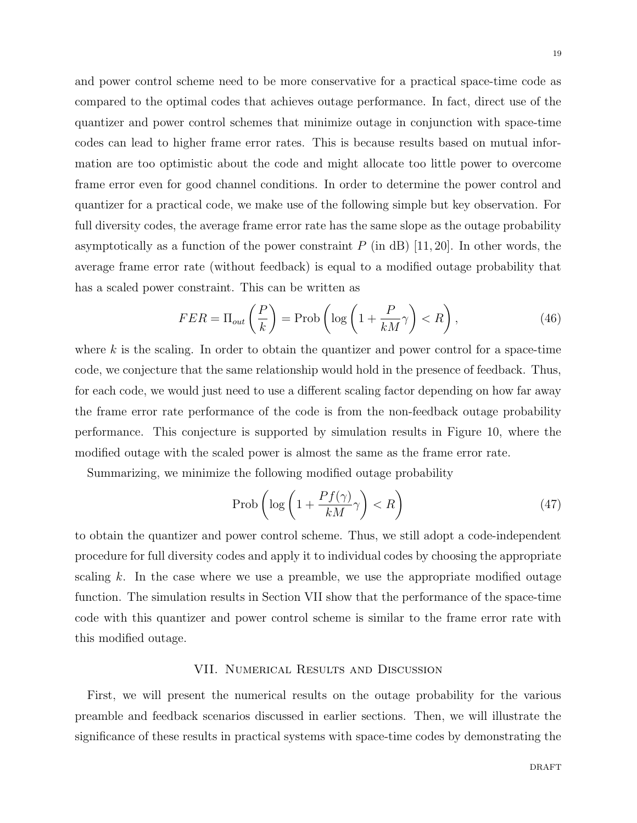19

and power control scheme need to be more conservative for a practical space-time code as compared to the optimal codes that achieves outage performance. In fact, direct use of the quantizer and power control schemes that minimize outage in conjunction with space-time codes can lead to higher frame error rates. This is because results based on mutual information are too optimistic about the code and might allocate too little power to overcome frame error even for good channel conditions. In order to determine the power control and quantizer for a practical code, we make use of the following simple but key observation. For full diversity codes, the average frame error rate has the same slope as the outage probability asymptotically as a function of the power constraint  $P$  (in dB) [11, 20]. In other words, the average frame error rate (without feedback) is equal to a modified outage probability that has a scaled power constraint. This can be written as

$$
FER = \Pi_{out} \left(\frac{P}{k}\right) = \text{Prob}\left(\log\left(1 + \frac{P}{kM}\gamma\right) < R\right),\tag{46}
$$

where  $k$  is the scaling. In order to obtain the quantizer and power control for a space-time code, we conjecture that the same relationship would hold in the presence of feedback. Thus, for each code, we would just need to use a different scaling factor depending on how far away the frame error rate performance of the code is from the non-feedback outage probability performance. This conjecture is supported by simulation results in Figure 10, where the modified outage with the scaled power is almost the same as the frame error rate.

Summarizing, we minimize the following modified outage probability

$$
\text{Prob}\left(\log\left(1 + \frac{Pf(\gamma)}{kM}\gamma\right) < R\right) \tag{47}
$$

to obtain the quantizer and power control scheme. Thus, we still adopt a code-independent procedure for full diversity codes and apply it to individual codes by choosing the appropriate scaling  $k$ . In the case where we use a preamble, we use the appropriate modified outage function. The simulation results in Section VII show that the performance of the space-time code with this quantizer and power control scheme is similar to the frame error rate with this modified outage.

## VII. Numerical Results and Discussion

First, we will present the numerical results on the outage probability for the various preamble and feedback scenarios discussed in earlier sections. Then, we will illustrate the significance of these results in practical systems with space-time codes by demonstrating the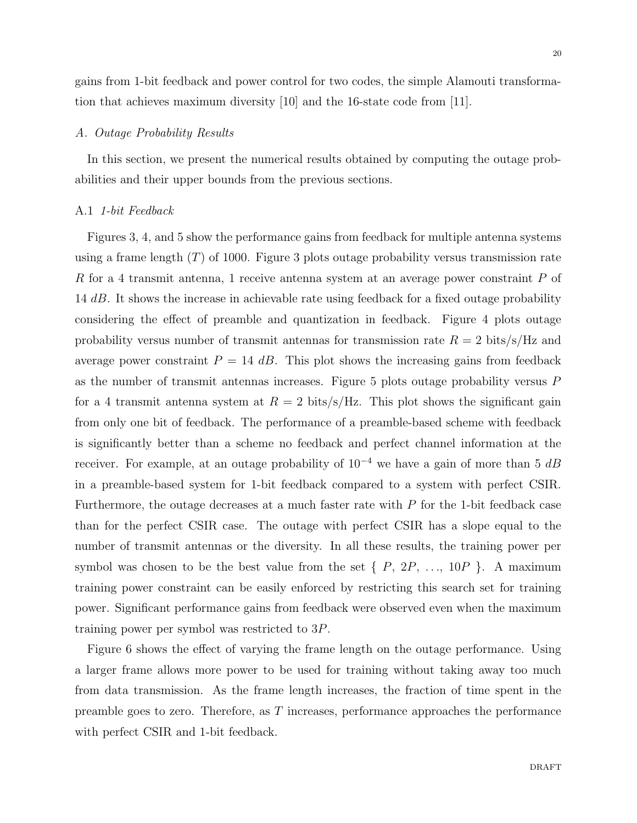gains from 1-bit feedback and power control for two codes, the simple Alamouti transformation that achieves maximum diversity [10] and the 16-state code from [11].

## A. Outage Probability Results

In this section, we present the numerical results obtained by computing the outage probabilities and their upper bounds from the previous sections.

## A.1 1-bit Feedback

Figures 3, 4, and 5 show the performance gains from feedback for multiple antenna systems using a frame length  $(T)$  of 1000. Figure 3 plots outage probability versus transmission rate R for a 4 transmit antenna, 1 receive antenna system at an average power constraint P of 14 dB. It shows the increase in achievable rate using feedback for a fixed outage probability considering the effect of preamble and quantization in feedback. Figure 4 plots outage probability versus number of transmit antennas for transmission rate  $R = 2$  bits/s/Hz and average power constraint  $P = 14$  dB. This plot shows the increasing gains from feedback as the number of transmit antennas increases. Figure 5 plots outage probability versus P for a 4 transmit antenna system at  $R = 2$  bits/s/Hz. This plot shows the significant gain from only one bit of feedback. The performance of a preamble-based scheme with feedback is significantly better than a scheme no feedback and perfect channel information at the receiver. For example, at an outage probability of  $10^{-4}$  we have a gain of more than 5 dB in a preamble-based system for 1-bit feedback compared to a system with perfect CSIR. Furthermore, the outage decreases at a much faster rate with P for the 1-bit feedback case than for the perfect CSIR case. The outage with perfect CSIR has a slope equal to the number of transmit antennas or the diversity. In all these results, the training power per symbol was chosen to be the best value from the set  $\{P, 2P, ..., 10P\}$ . A maximum training power constraint can be easily enforced by restricting this search set for training power. Significant performance gains from feedback were observed even when the maximum training power per symbol was restricted to 3P.

Figure 6 shows the effect of varying the frame length on the outage performance. Using a larger frame allows more power to be used for training without taking away too much from data transmission. As the frame length increases, the fraction of time spent in the preamble goes to zero. Therefore, as T increases, performance approaches the performance with perfect CSIR and 1-bit feedback.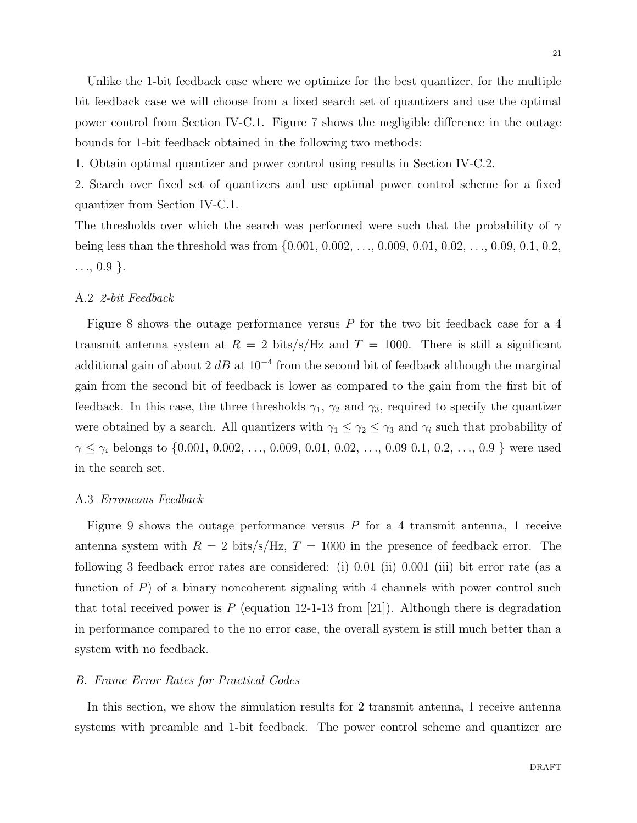Unlike the 1-bit feedback case where we optimize for the best quantizer, for the multiple bit feedback case we will choose from a fixed search set of quantizers and use the optimal power control from Section IV-C.1. Figure 7 shows the negligible difference in the outage bounds for 1-bit feedback obtained in the following two methods:

1. Obtain optimal quantizer and power control using results in Section IV-C.2.

2. Search over fixed set of quantizers and use optimal power control scheme for a fixed quantizer from Section IV-C.1.

The thresholds over which the search was performed were such that the probability of  $\gamma$ being less than the threshold was from {0.001, 0.002, ..., 0.009, 0.01, 0.02, ..., 0.09, 0.1, 0.2, ..., 0.9 }.

## A.2 2-bit Feedback

Figure 8 shows the outage performance versus  $P$  for the two bit feedback case for a 4 transmit antenna system at  $R = 2$  bits/s/Hz and  $T = 1000$ . There is still a significant additional gain of about 2  $dB$  at  $10^{-4}$  from the second bit of feedback although the marginal gain from the second bit of feedback is lower as compared to the gain from the first bit of feedback. In this case, the three thresholds  $\gamma_1$ ,  $\gamma_2$  and  $\gamma_3$ , required to specify the quantizer were obtained by a search. All quantizers with  $\gamma_1 \leq \gamma_2 \leq \gamma_3$  and  $\gamma_i$  such that probability of  $\gamma \leq \gamma_i$  belongs to  $\{0.001, 0.002, \ldots, 0.009, 0.01, 0.02, \ldots, 0.09, 0.1, 0.2, \ldots, 0.9\}$  were used in the search set.

### A.3 Erroneous Feedback

Figure 9 shows the outage performance versus  $P$  for a 4 transmit antenna, 1 receive antenna system with  $R = 2$  bits/s/Hz,  $T = 1000$  in the presence of feedback error. The following 3 feedback error rates are considered: (i) 0.01 (ii) 0.001 (iii) bit error rate (as a function of  $P$ ) of a binary noncoherent signaling with 4 channels with power control such that total received power is  $P$  (equation 12-1-13 from [21]). Although there is degradation in performance compared to the no error case, the overall system is still much better than a system with no feedback.

## B. Frame Error Rates for Practical Codes

In this section, we show the simulation results for 2 transmit antenna, 1 receive antenna systems with preamble and 1-bit feedback. The power control scheme and quantizer are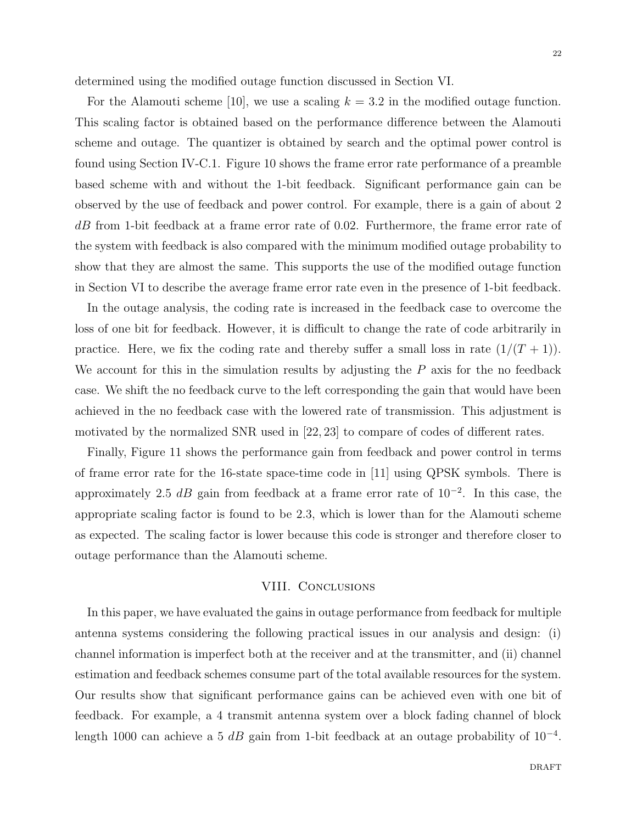determined using the modified outage function discussed in Section VI.

For the Alamouti scheme [10], we use a scaling  $k = 3.2$  in the modified outage function. This scaling factor is obtained based on the performance difference between the Alamouti scheme and outage. The quantizer is obtained by search and the optimal power control is found using Section IV-C.1. Figure 10 shows the frame error rate performance of a preamble based scheme with and without the 1-bit feedback. Significant performance gain can be observed by the use of feedback and power control. For example, there is a gain of about 2 dB from 1-bit feedback at a frame error rate of 0.02. Furthermore, the frame error rate of the system with feedback is also compared with the minimum modified outage probability to show that they are almost the same. This supports the use of the modified outage function in Section VI to describe the average frame error rate even in the presence of 1-bit feedback.

In the outage analysis, the coding rate is increased in the feedback case to overcome the loss of one bit for feedback. However, it is difficult to change the rate of code arbitrarily in practice. Here, we fix the coding rate and thereby suffer a small loss in rate  $(1/(T+1))$ . We account for this in the simulation results by adjusting the  $P$  axis for the no feedback case. We shift the no feedback curve to the left corresponding the gain that would have been achieved in the no feedback case with the lowered rate of transmission. This adjustment is motivated by the normalized SNR used in [22,23] to compare of codes of different rates.

Finally, Figure 11 shows the performance gain from feedback and power control in terms of frame error rate for the 16-state space-time code in [11] using QPSK symbols. There is approximately 2.5 dB gain from feedback at a frame error rate of  $10^{-2}$ . In this case, the appropriate scaling factor is found to be 2.3, which is lower than for the Alamouti scheme as expected. The scaling factor is lower because this code is stronger and therefore closer to outage performance than the Alamouti scheme.

#### VIII. Conclusions

In this paper, we have evaluated the gains in outage performance from feedback for multiple antenna systems considering the following practical issues in our analysis and design: (i) channel information is imperfect both at the receiver and at the transmitter, and (ii) channel estimation and feedback schemes consume part of the total available resources for the system. Our results show that significant performance gains can be achieved even with one bit of feedback. For example, a 4 transmit antenna system over a block fading channel of block length 1000 can achieve a 5 dB gain from 1-bit feedback at an outage probability of  $10^{-4}$ .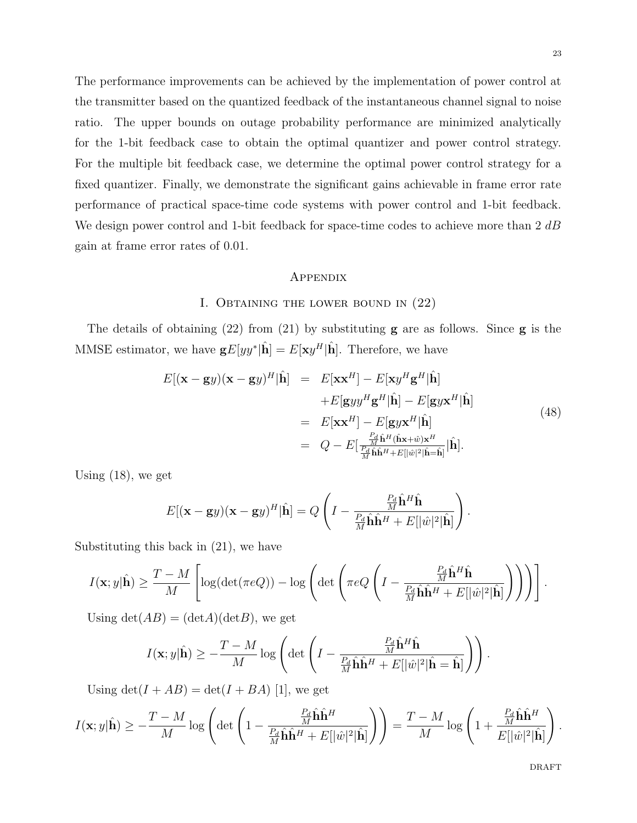The performance improvements can be achieved by the implementation of power control at the transmitter based on the quantized feedback of the instantaneous channel signal to noise ratio. The upper bounds on outage probability performance are minimized analytically for the 1-bit feedback case to obtain the optimal quantizer and power control strategy. For the multiple bit feedback case, we determine the optimal power control strategy for a fixed quantizer. Finally, we demonstrate the significant gains achievable in frame error rate performance of practical space-time code systems with power control and 1-bit feedback. We design power control and 1-bit feedback for space-time codes to achieve more than 2 dB gain at frame error rates of 0.01.

## **APPENDIX**

## I. Obtaining the lower bound in (22)

The details of obtaining  $(22)$  from  $(21)$  by substituting **g** are as follows. Since **g** is the MMSE estimator, we have  $gE[yy^*|\hat{\mathbf{h}}] = E[xy^H|\hat{\mathbf{h}}]$ . Therefore, we have

$$
E[(\mathbf{x} - \mathbf{g}y)(\mathbf{x} - \mathbf{g}y)^H | \hat{\mathbf{h}}] = E[\mathbf{x}\mathbf{x}^H] - E[\mathbf{x}y^H \mathbf{g}^H | \hat{\mathbf{h}}] + E[\mathbf{g}yy^H \mathbf{g}^H | \hat{\mathbf{h}}] - E[\mathbf{g}y\mathbf{x}^H | \hat{\mathbf{h}}] = E[\mathbf{x}\mathbf{x}^H] - E[\mathbf{g}y\mathbf{x}^H | \hat{\mathbf{h}}] = Q - E[\frac{P_d}{\frac{H}{M}\hat{\mathbf{h}}^H(\hat{\mathbf{h}}\mathbf{x} + \hat{w})\mathbf{x}^H} | \hat{\mathbf{h}}] .
$$
\n(48)

Using (18), we get

$$
E[(\mathbf{x}-\mathbf{g}y)(\mathbf{x}-\mathbf{g}y)^H|\hat{\mathbf{h}}] = Q\left(I - \frac{\frac{P_d}{M}\hat{\mathbf{h}}^H\hat{\mathbf{h}}}{\frac{P_d}{M}\hat{\mathbf{h}}\hat{\mathbf{h}}^H + E[|\hat{w}|^2|\hat{\mathbf{h}}]}\right).
$$

Substituting this back in (21), we have

$$
I(\mathbf{x};y|\hat{\mathbf{h}}) \ge \frac{T-M}{M} \left[ \log(\det(\pi eQ)) - \log\left( \det\left(\pi eQ\left(I - \frac{\frac{P_d}{M}\hat{\mathbf{h}}^H\hat{\mathbf{h}}}{\frac{P_d}{M}\hat{\mathbf{h}}\hat{\mathbf{h}}^H + E[|\hat{w}|^2|\hat{\mathbf{h}}|} \right) \right) \right) \right].
$$

Using  $det(AB) = (detA)(detB)$ , we get

$$
I(\mathbf{x};y|\hat{\mathbf{h}}) \geq -\frac{T-M}{M} \log \left( \det \left( I - \frac{\frac{P_d}{M} \hat{\mathbf{h}}^H \hat{\mathbf{h}}}{\frac{P_d}{M} \hat{\mathbf{h}} \hat{\mathbf{h}}^H + E[|\hat{w}|^2 | \hat{\mathbf{h}} = \hat{\mathbf{h}}] } \right) \right).
$$

Using  $\det(I + AB) = \det(I + BA)$  [1], we get

$$
I(\mathbf{x};y|\hat{\mathbf{h}}) \geq -\frac{T-M}{M} \log \left( \det \left( 1 - \frac{\frac{P_d}{M} \hat{\mathbf{h}} \hat{\mathbf{h}}^H}{\frac{P_d}{M} \hat{\mathbf{h}} \hat{\mathbf{h}}^H + E[|\hat{w}|^2 | \hat{\mathbf{h}}]} \right) \right) = \frac{T-M}{M} \log \left( 1 + \frac{\frac{P_d}{M} \hat{\mathbf{h}} \hat{\mathbf{h}}^H}{E[|\hat{w}|^2 | \hat{\mathbf{h}}]} \right).
$$

DRAFT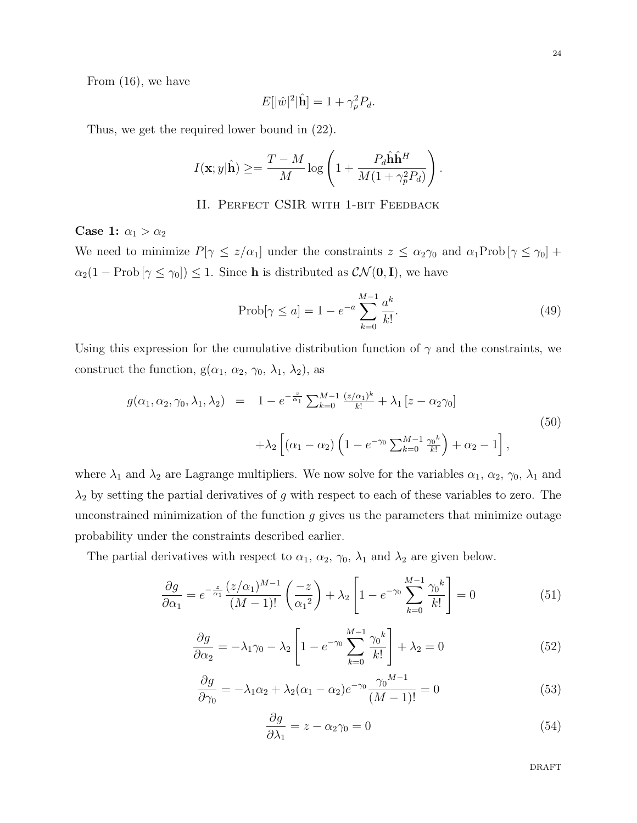From (16), we have

$$
E[|\hat{w}|^2|\hat{\mathbf{h}}] = 1 + \gamma_p^2 P_d.
$$

Thus, we get the required lower bound in (22).

$$
I(\mathbf{x};y|\hat{\mathbf{h}}) \geq = \frac{T-M}{M} \log \left( 1 + \frac{P_d \hat{\mathbf{h}} \hat{\mathbf{h}}^H}{M(1 + \gamma_p^2 P_d)} \right).
$$

## II. Perfect CSIR with 1-bit Feedback

Case 1:  $\alpha_1 > \alpha_2$ 

We need to minimize  $P[\gamma \leq z/\alpha_1]$  under the constraints  $z \leq \alpha_2 \gamma_0$  and  $\alpha_1 \text{Prob}[\gamma \leq \gamma_0]$  +  $\alpha_2(1 - \text{Prob}[\gamma \leq \gamma_0]) \leq 1$ . Since **h** is distributed as  $\mathcal{CN}(\mathbf{0}, \mathbf{I})$ , we have

$$
Prob[\gamma \le a] = 1 - e^{-a} \sum_{k=0}^{M-1} \frac{a^k}{k!}.
$$
\n(49)

Using this expression for the cumulative distribution function of  $\gamma$  and the constraints, we construct the function,  $g(\alpha_1, \alpha_2, \gamma_0, \lambda_1, \lambda_2)$ , as

$$
g(\alpha_1, \alpha_2, \gamma_0, \lambda_1, \lambda_2) = 1 - e^{-\frac{z}{\alpha_1}} \sum_{k=0}^{M-1} \frac{(z/\alpha_1)^k}{k!} + \lambda_1 [z - \alpha_2 \gamma_0]
$$
  
 
$$
+ \lambda_2 \left[ (\alpha_1 - \alpha_2) \left( 1 - e^{-\gamma_0} \sum_{k=0}^{M-1} \frac{\gamma_0^k}{k!} \right) + \alpha_2 - 1 \right],
$$
 (50)

where  $\lambda_1$  and  $\lambda_2$  are Lagrange multipliers. We now solve for the variables  $\alpha_1$ ,  $\alpha_2$ ,  $\gamma_0$ ,  $\lambda_1$  and  $\lambda_2$  by setting the partial derivatives of g with respect to each of these variables to zero. The unconstrained minimization of the function  $q$  gives us the parameters that minimize outage probability under the constraints described earlier.

The partial derivatives with respect to  $\alpha_1$ ,  $\alpha_2$ ,  $\gamma_0$ ,  $\lambda_1$  and  $\lambda_2$  are given below.

$$
\frac{\partial g}{\partial \alpha_1} = e^{-\frac{z}{\alpha_1}} \frac{(z/\alpha_1)^{M-1}}{(M-1)!} \left(\frac{-z}{\alpha_1^2}\right) + \lambda_2 \left[1 - e^{-\gamma_0} \sum_{k=0}^{M-1} \frac{\gamma_0^k}{k!} \right] = 0 \tag{51}
$$

$$
\frac{\partial g}{\partial \alpha_2} = -\lambda_1 \gamma_0 - \lambda_2 \left[ 1 - e^{-\gamma_0} \sum_{k=0}^{M-1} \frac{\gamma_0^k}{k!} \right] + \lambda_2 = 0 \tag{52}
$$

$$
\frac{\partial g}{\partial \gamma_0} = -\lambda_1 \alpha_2 + \lambda_2 (\alpha_1 - \alpha_2) e^{-\gamma_0} \frac{\gamma_0^{M-1}}{(M-1)!} = 0 \tag{53}
$$

$$
\frac{\partial g}{\partial \lambda_1} = z - \alpha_2 \gamma_0 = 0 \tag{54}
$$

DRAFT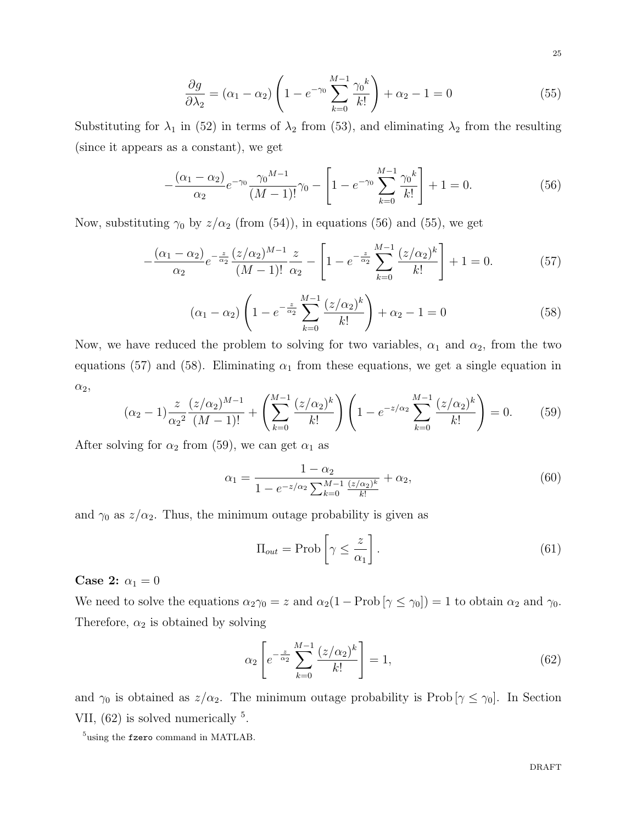$$
\frac{\partial g}{\partial \lambda_2} = (\alpha_1 - \alpha_2) \left( 1 - e^{-\gamma_0} \sum_{k=0}^{M-1} \frac{\gamma_0^k}{k!} \right) + \alpha_2 - 1 = 0 \tag{55}
$$

Substituting for  $\lambda_1$  in (52) in terms of  $\lambda_2$  from (53), and eliminating  $\lambda_2$  from the resulting (since it appears as a constant), we get

$$
-\frac{(\alpha_1 - \alpha_2)}{\alpha_2} e^{-\gamma_0} \frac{\gamma_0^{M-1}}{(M-1)!} \gamma_0 - \left[1 - e^{-\gamma_0} \sum_{k=0}^{M-1} \frac{\gamma_0^k}{k!} \right] + 1 = 0. \tag{56}
$$

Now, substituting  $\gamma_0$  by  $z/\alpha_2$  (from (54)), in equations (56) and (55), we get

$$
-\frac{(\alpha_1 - \alpha_2)}{\alpha_2} e^{-\frac{z}{\alpha_2}} \frac{(z/\alpha_2)^{M-1}}{(M-1)!} \frac{z}{\alpha_2} - \left[1 - e^{-\frac{z}{\alpha_2}} \sum_{k=0}^{M-1} \frac{(z/\alpha_2)^k}{k!} \right] + 1 = 0.
$$
 (57)

$$
(\alpha_1 - \alpha_2) \left( 1 - e^{-\frac{z}{\alpha_2}} \sum_{k=0}^{M-1} \frac{(z/\alpha_2)^k}{k!} \right) + \alpha_2 - 1 = 0 \tag{58}
$$

Now, we have reduced the problem to solving for two variables,  $\alpha_1$  and  $\alpha_2$ , from the two equations (57) and (58). Eliminating  $\alpha_1$  from these equations, we get a single equation in  $\alpha_2,$ 

$$
(\alpha_2 - 1) \frac{z}{\alpha_2^2} \frac{(z/\alpha_2)^{M-1}}{(M-1)!} + \left(\sum_{k=0}^{M-1} \frac{(z/\alpha_2)^k}{k!} \right) \left(1 - e^{-z/\alpha_2} \sum_{k=0}^{M-1} \frac{(z/\alpha_2)^k}{k!} \right) = 0. \tag{59}
$$

After solving for  $\alpha_2$  from (59), we can get  $\alpha_1$  as

$$
\alpha_1 = \frac{1 - \alpha_2}{1 - e^{-z/\alpha_2} \sum_{k=0}^{M-1} \frac{(z/\alpha_2)^k}{k!}} + \alpha_2,
$$
\n(60)

and  $\gamma_0$  as  $z/\alpha_2$ . Thus, the minimum outage probability is given as

$$
\Pi_{out} = \text{Prob}\left[\gamma \le \frac{z}{\alpha_1}\right].\tag{61}
$$

Case 2:  $\alpha_1 = 0$ 

We need to solve the equations  $\alpha_2\gamma_0 = z$  and  $\alpha_2(1 - \text{Prob}[\gamma \le \gamma_0]) = 1$  to obtain  $\alpha_2$  and  $\gamma_0$ . Therefore,  $\alpha_2$  is obtained by solving

$$
\alpha_2 \left[ e^{-\frac{z}{\alpha_2}} \sum_{k=0}^{M-1} \frac{(z/\alpha_2)^k}{k!} \right] = 1,\tag{62}
$$

and  $\gamma_0$  is obtained as  $z/\alpha_2$ . The minimum outage probability is Prob  $[\gamma \le \gamma_0]$ . In Section VII,  $(62)$  is solved numerically <sup>5</sup>.

25

 $5$ using the fzero command in MATLAB.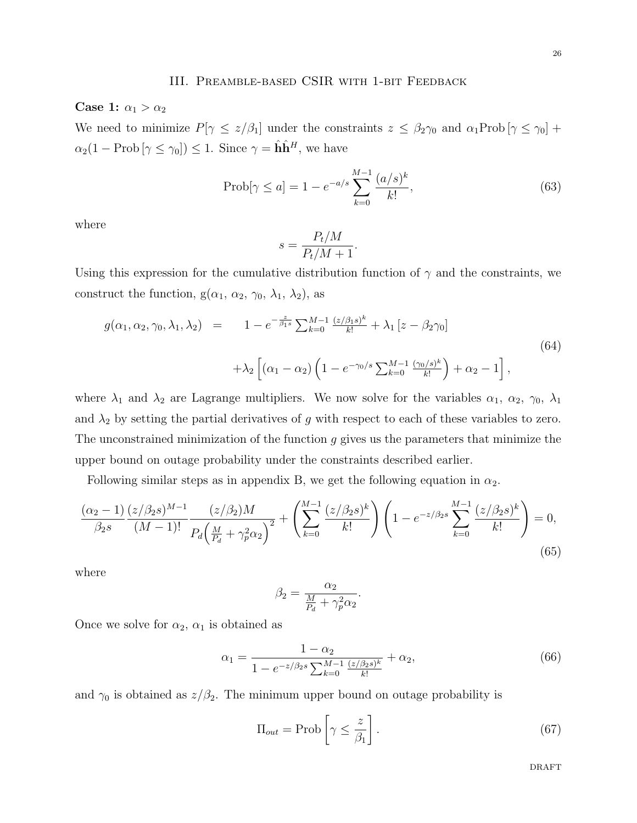Case 1:  $\alpha_1 > \alpha_2$ 

We need to minimize  $P[\gamma \leq z/\beta_1]$  under the constraints  $z \leq \beta_2 \gamma_0$  and  $\alpha_1 \text{Prob}[\gamma \leq \gamma_0]$  +  $\alpha_2(1 - \text{Prob}[\gamma \leq \gamma_0]) \leq 1.$  Since  $\gamma = \hat{\mathbf{h}} \hat{\mathbf{h}}^H$ , we have

$$
Prob[\gamma \le a] = 1 - e^{-a/s} \sum_{k=0}^{M-1} \frac{(a/s)^k}{k!},
$$
\n(63)

where

$$
s = \frac{P_t/M}{P_t/M + 1}.
$$

Using this expression for the cumulative distribution function of  $\gamma$  and the constraints, we construct the function,  $g(\alpha_1, \alpha_2, \gamma_0, \lambda_1, \lambda_2)$ , as

$$
g(\alpha_1, \alpha_2, \gamma_0, \lambda_1, \lambda_2) = 1 - e^{-\frac{z}{\beta_1 s}} \sum_{k=0}^{M-1} \frac{(z/\beta_1 s)^k}{k!} + \lambda_1 [z - \beta_2 \gamma_0]
$$
  
 
$$
+ \lambda_2 \left[ (\alpha_1 - \alpha_2) \left( 1 - e^{-\gamma_0/s} \sum_{k=0}^{M-1} \frac{(\gamma_0/s)^k}{k!} \right) + \alpha_2 - 1 \right],
$$
 (64)

where  $\lambda_1$  and  $\lambda_2$  are Lagrange multipliers. We now solve for the variables  $\alpha_1$ ,  $\alpha_2$ ,  $\gamma_0$ ,  $\lambda_1$ and  $\lambda_2$  by setting the partial derivatives of g with respect to each of these variables to zero. The unconstrained minimization of the function  $g$  gives us the parameters that minimize the upper bound on outage probability under the constraints described earlier.

Following similar steps as in appendix B, we get the following equation in  $\alpha_2$ .

$$
\frac{(\alpha_2 - 1)}{\beta_2 s} \frac{(z/\beta_2 s)^{M-1}}{(M-1)!} \frac{(z/\beta_2)M}{P_d \left(\frac{M}{P_d} + \gamma_p^2 \alpha_2\right)^2} + \left(\sum_{k=0}^{M-1} \frac{(z/\beta_2 s)^k}{k!} \right) \left(1 - e^{-z/\beta_2 s} \sum_{k=0}^{M-1} \frac{(z/\beta_2 s)^k}{k!} \right) = 0,
$$
\n(65)

where

$$
\beta_2 = \frac{\alpha_2}{\frac{M}{P_d} + \gamma_p^2 \alpha_2}.
$$

Once we solve for  $\alpha_2$ ,  $\alpha_1$  is obtained as

$$
\alpha_1 = \frac{1 - \alpha_2}{1 - e^{-z/\beta_2 s} \sum_{k=0}^{M-1} \frac{(z/\beta_2 s)^k}{k!}} + \alpha_2,
$$
\n(66)

and  $\gamma_0$  is obtained as  $z/\beta_2$ . The minimum upper bound on outage probability is

$$
\Pi_{out} = \text{Prob}\left[\gamma \le \frac{z}{\beta_1}\right].\tag{67}
$$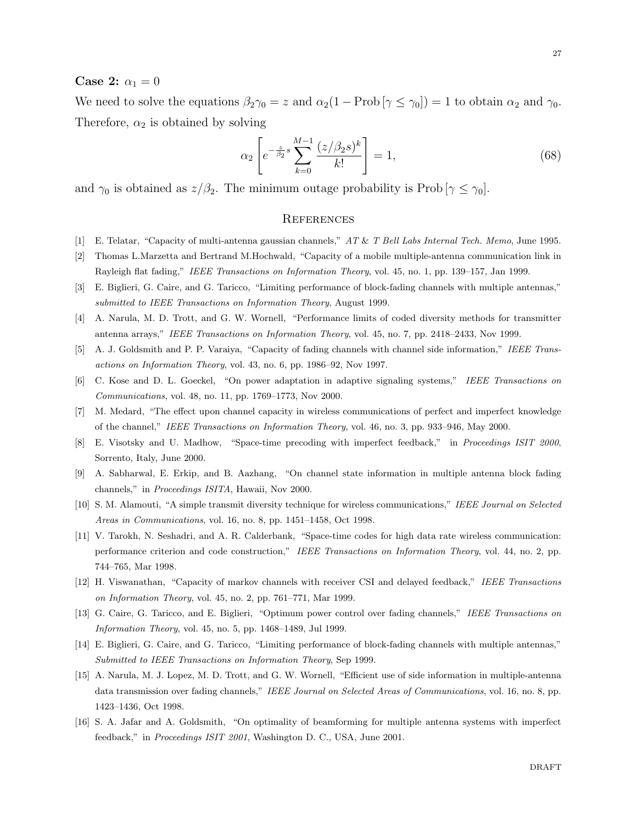## Case 2:  $\alpha_1 = 0$

We need to solve the equations  $\beta_2\gamma_0 = z$  and  $\alpha_2(1 - \text{Prob}[\gamma \le \gamma_0]) = 1$  to obtain  $\alpha_2$  and  $\gamma_0$ . Therefore,  $\alpha_2$  is obtained by solving

$$
\alpha_2 \left[ e^{-\frac{z}{\beta_2} s} \sum_{k=0}^{M-1} \frac{(z/\beta_2 s)^k}{k!} \right] = 1,\tag{68}
$$

and  $\gamma_0$  is obtained as  $z/\beta_2$ . The minimum outage probability is Prob  $[\gamma \leq \gamma_0]$ .

#### **REFERENCES**

- [1] E. Telatar, "Capacity of multi-antenna gaussian channels," AT & T Bell Labs Internal Tech. Memo, June 1995.
- [2] Thomas L.Marzetta and Bertrand M.Hochwald, "Capacity of a mobile multiple-antenna communication link in Rayleigh flat fading," IEEE Transactions on Information Theory, vol. 45, no. 1, pp. 139–157, Jan 1999.
- [3] E. Biglieri, G. Caire, and G. Taricco, "Limiting performance of block-fading channels with multiple antennas," submitted to IEEE Transactions on Information Theory, August 1999.
- [4] A. Narula, M. D. Trott, and G. W. Wornell, "Performance limits of coded diversity methods for transmitter antenna arrays," IEEE Transactions on Information Theory, vol. 45, no. 7, pp. 2418–2433, Nov 1999.
- [5] A. J. Goldsmith and P. P. Varaiya, "Capacity of fading channels with channel side information," IEEE Transactions on Information Theory, vol. 43, no. 6, pp. 1986–92, Nov 1997.
- [6] C. Kose and D. L. Goeckel, "On power adaptation in adaptive signaling systems," IEEE Transactions on Communications, vol. 48, no. 11, pp. 1769–1773, Nov 2000.
- [7] M. Medard, "The effect upon channel capacity in wireless communications of perfect and imperfect knowledge of the channel," IEEE Transactions on Information Theory, vol. 46, no. 3, pp. 933–946, May 2000.
- [8] E. Visotsky and U. Madhow, "Space-time precoding with imperfect feedback," in Proceedings ISIT 2000, Sorrento, Italy, June 2000.
- [9] A. Sabharwal, E. Erkip, and B. Aazhang, "On channel state information in multiple antenna block fading channels," in Proceedings ISITA, Hawaii, Nov 2000.
- [10] S. M. Alamouti, "A simple transmit diversity technique for wireless communications," IEEE Journal on Selected Areas in Communications, vol. 16, no. 8, pp. 1451–1458, Oct 1998.
- [11] V. Tarokh, N. Seshadri, and A. R. Calderbank, "Space-time codes for high data rate wireless communication: performance criterion and code construction," IEEE Transactions on Information Theory, vol. 44, no. 2, pp. 744–765, Mar 1998.
- [12] H. Viswanathan, "Capacity of markov channels with receiver CSI and delayed feedback," IEEE Transactions on Information Theory, vol. 45, no. 2, pp. 761–771, Mar 1999.
- [13] G. Caire, G. Taricco, and E. Biglieri, "Optimum power control over fading channels," IEEE Transactions on Information Theory, vol. 45, no. 5, pp. 1468–1489, Jul 1999.
- [14] E. Biglieri, G. Caire, and G. Taricco, "Limiting performance of block-fading channels with multiple antennas," Submitted to IEEE Transactions on Information Theory, Sep 1999.
- [15] A. Narula, M. J. Lopez, M. D. Trott, and G. W. Wornell, "Efficient use of side information in multiple-antenna data transmission over fading channels," IEEE Journal on Selected Areas of Communications, vol. 16, no. 8, pp. 1423–1436, Oct 1998.
- [16] S. A. Jafar and A. Goldsmith, "On optimality of beamforming for multiple antenna systems with imperfect feedback," in Proceedings ISIT 2001, Washington D. C., USA, June 2001.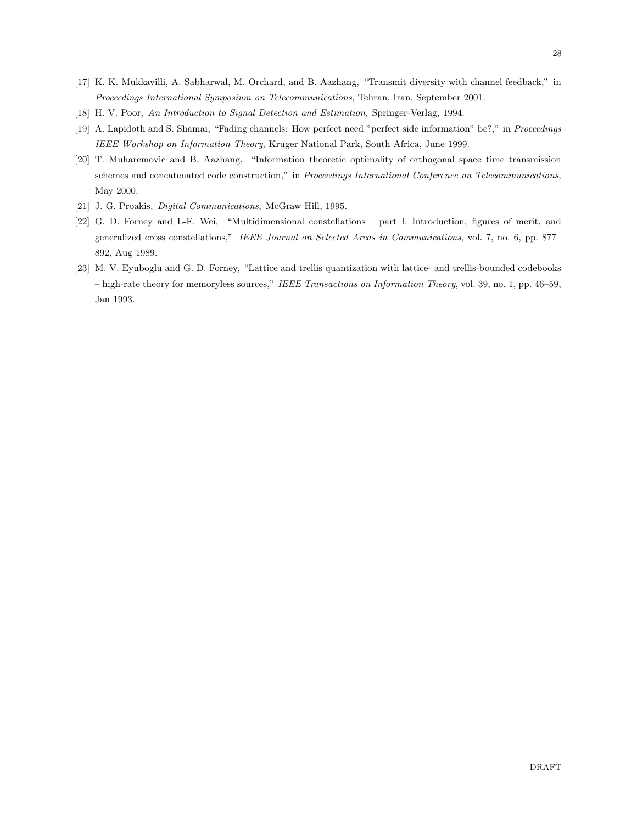- [17] K. K. Mukkavilli, A. Sabharwal, M. Orchard, and B. Aazhang, "Transmit diversity with channel feedback," in Proceedings International Symposium on Telecommunications, Tehran, Iran, September 2001.
- [18] H. V. Poor, An Introduction to Signal Detection and Estimation, Springer-Verlag, 1994.
- [19] A. Lapidoth and S. Shamai, "Fading channels: How perfect need "perfect side information" be?," in Proceedings IEEE Workshop on Information Theory, Kruger National Park, South Africa, June 1999.
- [20] T. Muharemovic and B. Aazhang, "Information theoretic optimality of orthogonal space time transmission schemes and concatenated code construction," in Proceedings International Conference on Telecommunications, May 2000.
- [21] J. G. Proakis, Digital Communications, McGraw Hill, 1995.
- [22] G. D. Forney and L-F. Wei, "Multidimensional constellations part I: Introduction, figures of merit, and generalized cross constellations," IEEE Journal on Selected Areas in Communications, vol. 7, no. 6, pp. 877– 892, Aug 1989.
- [23] M. V. Eyuboglu and G. D. Forney, "Lattice and trellis quantization with lattice- and trellis-bounded codebooks – high-rate theory for memoryless sources," IEEE Transactions on Information Theory, vol. 39, no. 1, pp. 46–59, Jan 1993.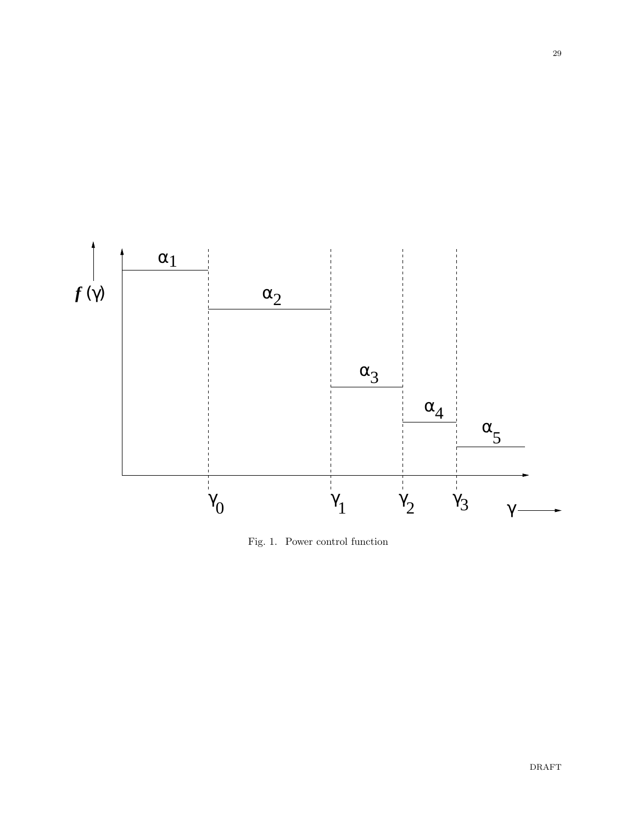

Fig. 1. Power control function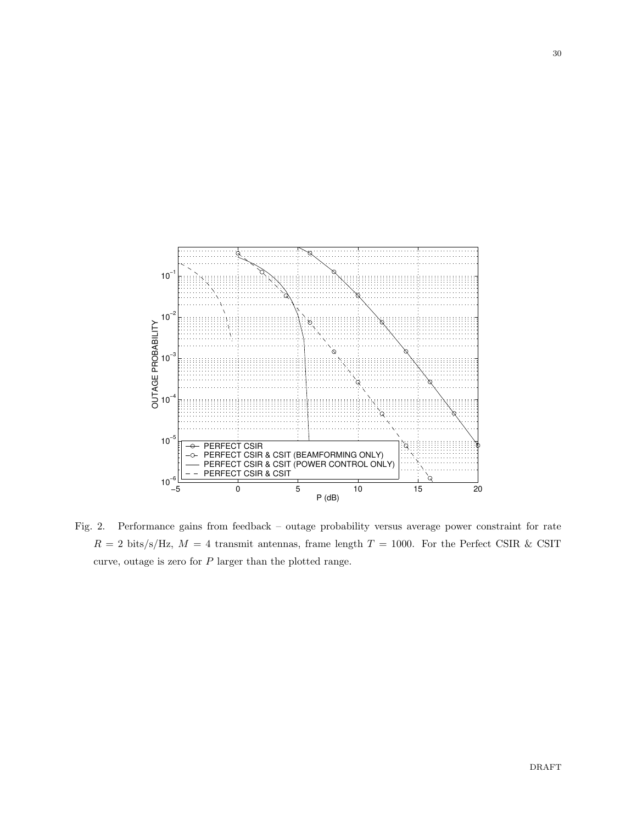

Fig. 2. Performance gains from feedback – outage probability versus average power constraint for rate  $R = 2$  bits/s/Hz,  $M = 4$  transmit antennas, frame length  $T = 1000$ . For the Perfect CSIR & CSIT curve, outage is zero for  $P$  larger than the plotted range.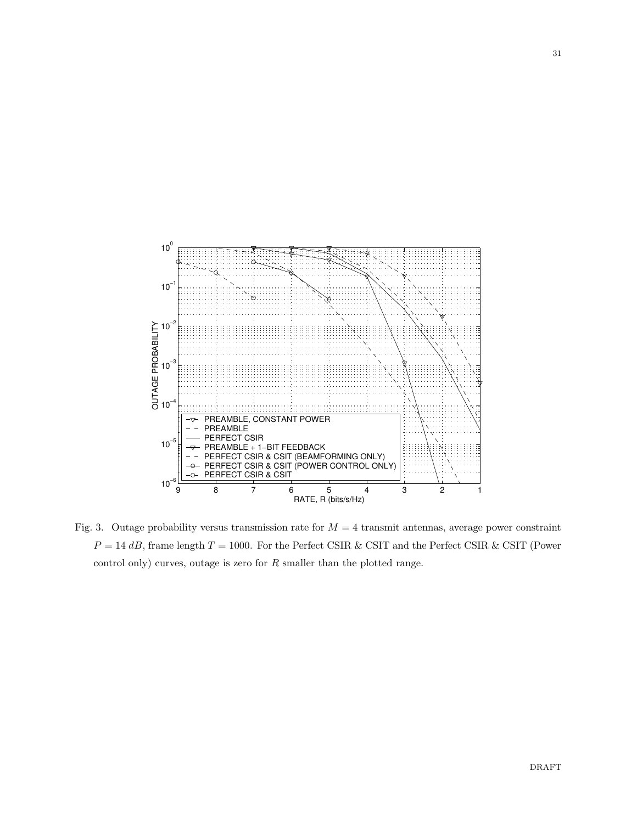

Fig. 3. Outage probability versus transmission rate for  $M = 4$  transmit antennas, average power constraint  $P = 14$  dB, frame length  $T = 1000$ . For the Perfect CSIR & CSIT and the Perfect CSIR & CSIT (Power control only) curves, outage is zero for  $R$  smaller than the plotted range.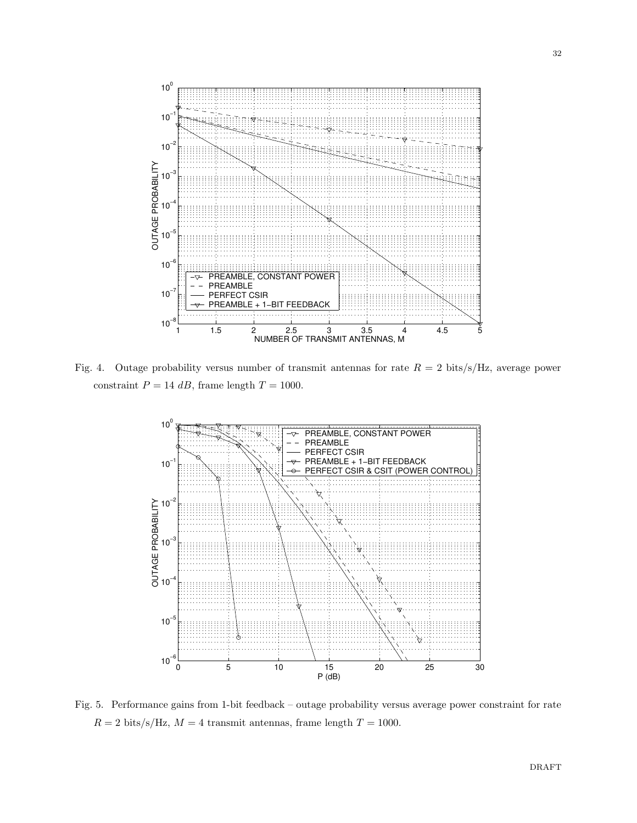

Fig. 4. Outage probability versus number of transmit antennas for rate  $R = 2$  bits/s/Hz, average power constraint  $P = 14$  dB, frame length  $T = 1000$ .



Fig. 5. Performance gains from 1-bit feedback – outage probability versus average power constraint for rate  $R = 2$  bits/s/Hz,  $M = 4$  transmit antennas, frame length  $T = 1000$ .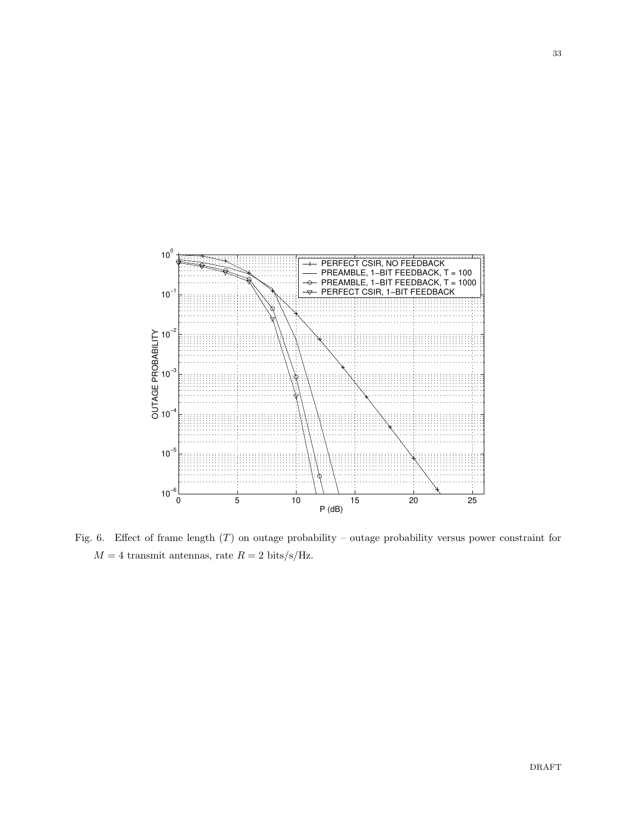

Fig. 6. Effect of frame length  $(T)$  on outage probability – outage probability versus power constraint for  $M = 4$  transmit antennas, rate  $R = 2$  bits/s/Hz.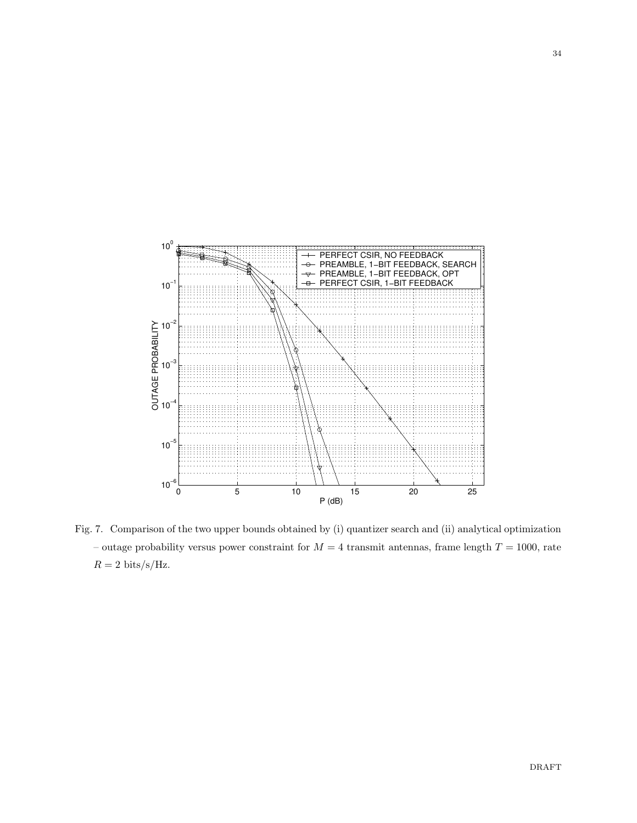

Fig. 7. Comparison of the two upper bounds obtained by (i) quantizer search and (ii) analytical optimization – outage probability versus power constraint for  $M = 4$  transmit antennas, frame length  $T = 1000$ , rate  $R = 2$  bits/s/Hz.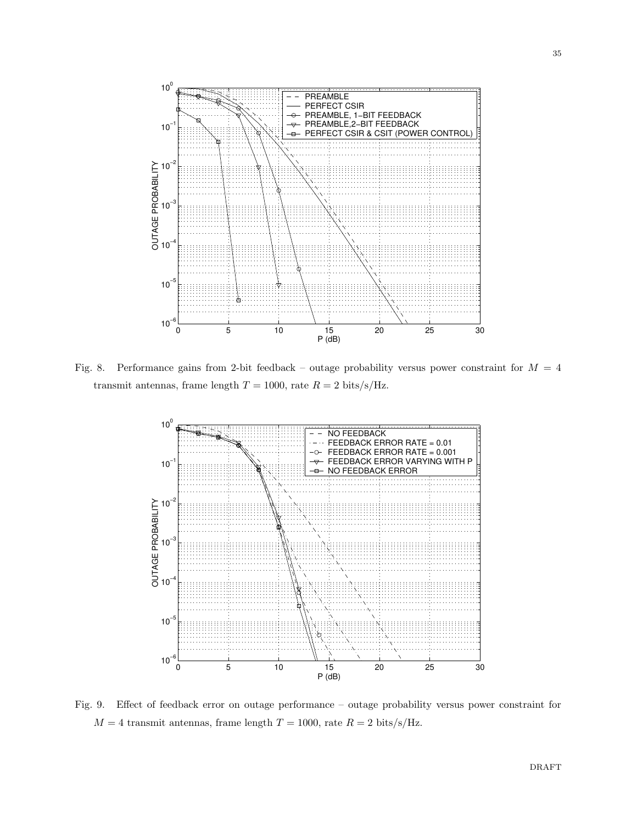

Fig. 8. Performance gains from 2-bit feedback – outage probability versus power constraint for  $M = 4$ transmit antennas, frame length  $T = 1000$ , rate  $R = 2$  bits/s/Hz.



Fig. 9. Effect of feedback error on outage performance – outage probability versus power constraint for  $M = 4$  transmit antennas, frame length  $T = 1000$ , rate  $R = 2$  bits/s/Hz.